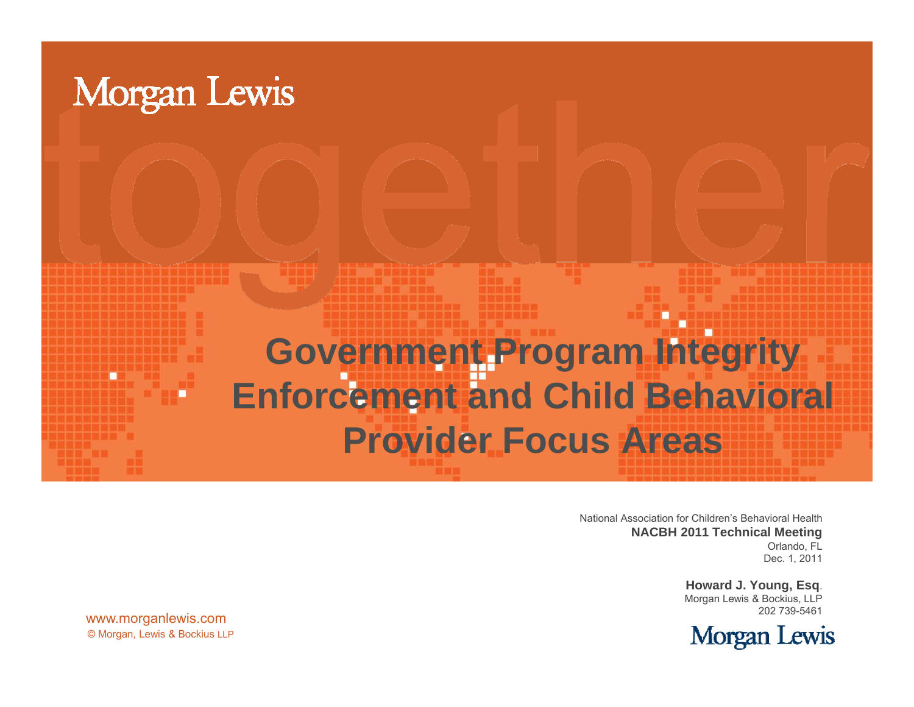

National Association for Children's Behavioral Health **NACBH 2011 Technical Meeting** Orlando, FL Dec. 1, 2011

> **Howard J. Young, Esq**. Morgan Lewis & Bockius, LLP 202 739-5461



© Morgan, Lewis & Bockius LLP www.morganlewis.com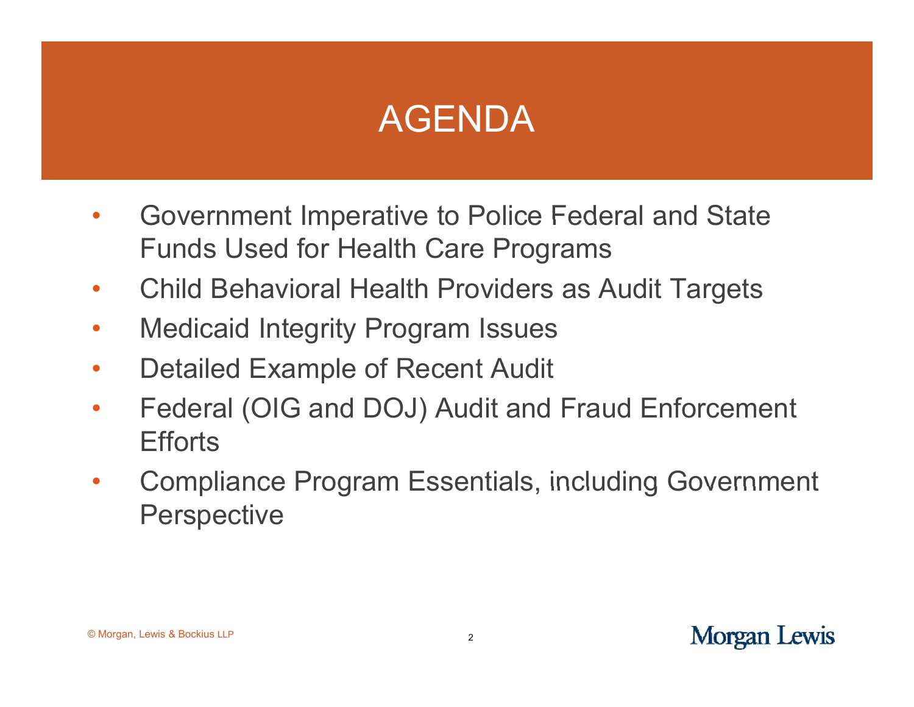## AGENDA

- • Government Imperative to Police Federal and State Funds Used for Health Care Programs
- $\bullet$ Child Behavioral Health Providers as Audit Targets
- $\bullet$ Medicaid Integrity Program Issues
- $\bullet$ Detailed Example of Recent Audit
- $\bullet$  Federal (OIG and DOJ) Audit and Fraud Enforcement **Efforts**
- $\bullet$ Compliance Program Essentials, including Government **Perspective**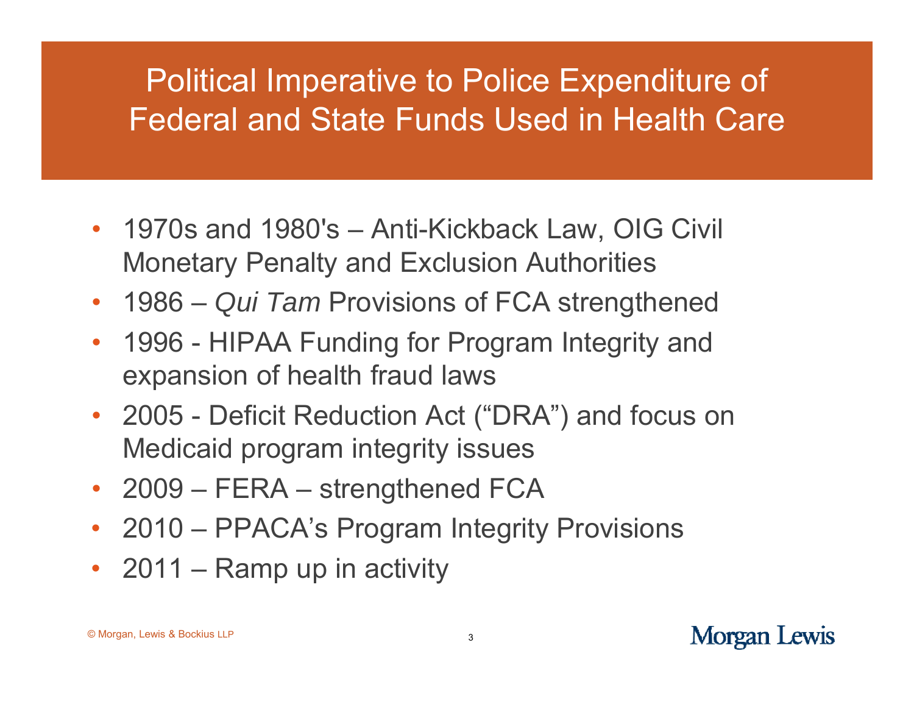#### Political Imperative to Police Expenditure of Federal and State Funds Used in Health Care

- 1970s and 1980's Anti-Kickback Law, OIG Civil Monetary Penalty and Exclusion Authorities
- 1986 –*Qui Tam* Provisions of FCA strengthened
- $\bullet$  1996 - HIPAA Funding for Program Integrity and expansion of health fraud laws
- 2005 Deficit Reduction Act ("DRA") and focus on Medicaid program integrity issues
- 2009 FERA –– strengthened FCA
- 2010 PPACA's Program Integrity Provisions
- 2011 –– Ramp up in activity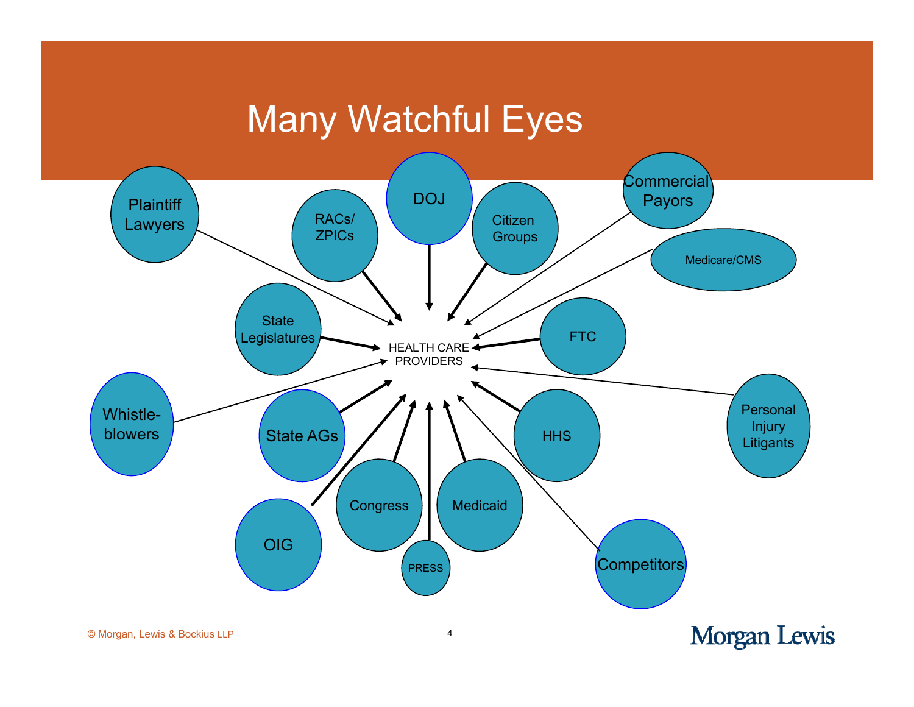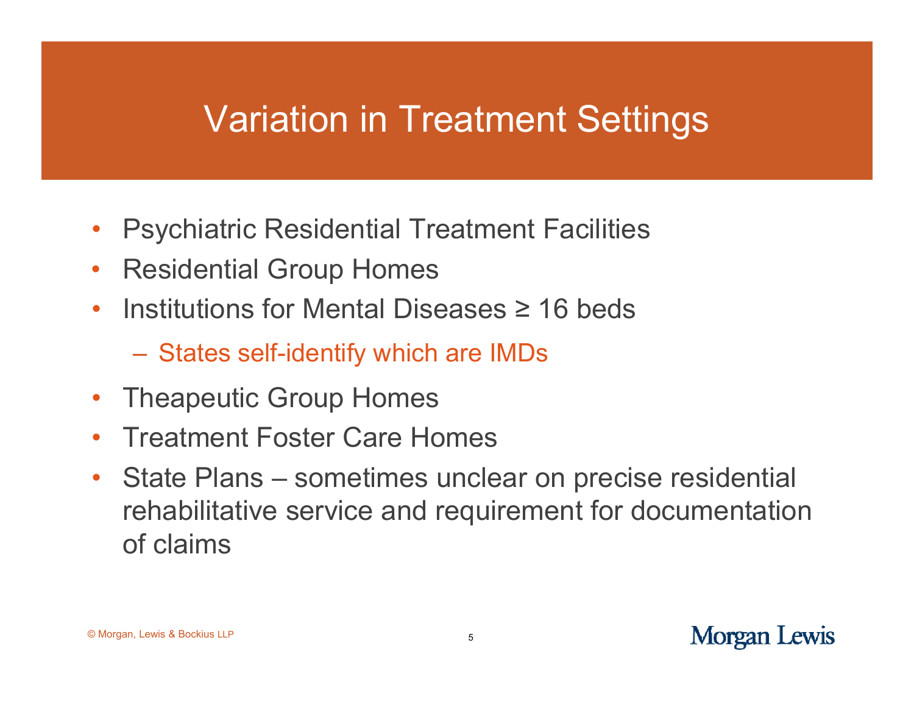#### Variation in Treatment Settings

- $\bullet$ • Psychiatric Residential Treatment Facilities
- $\bullet$ Residential Group Homes
- $\bullet$ • Institutions for Mental Diseases  $\geq 16$  beds
	- States self-identify which are IMDs
- •Theapeutic Group Homes
- $\bullet$ Treatment Foster Care Homes
- $\bullet$ • State Plans – sometimes unclear on precise residential rehabilitative service and requirement for documentation of claims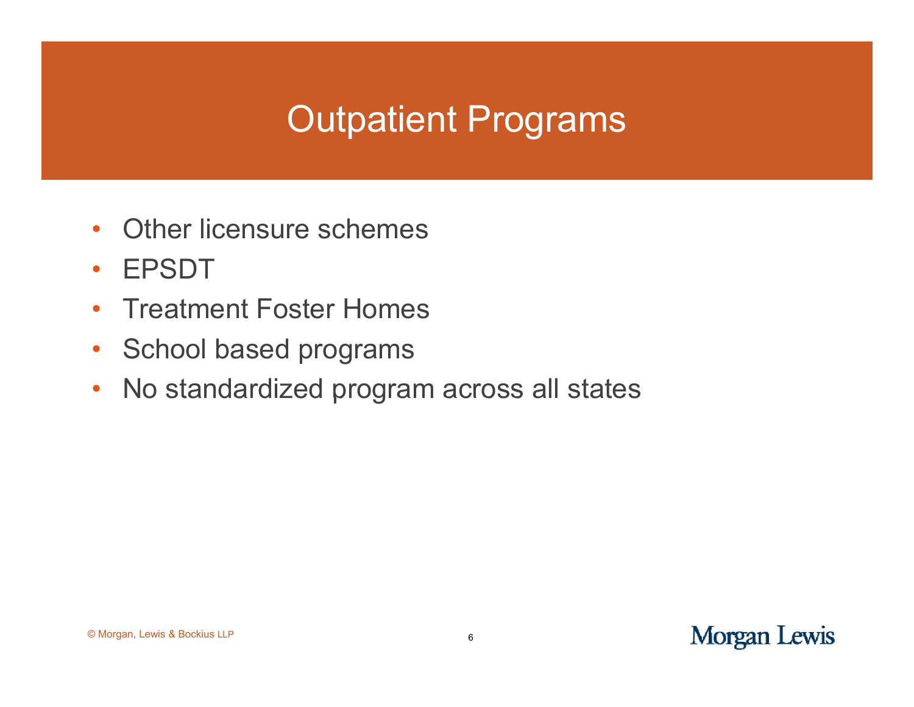## Outpatient Programs

- $\bullet$ • Other licensure schemes
- $\bullet$ EPSDT
- •Treatment Foster Homes
- $\bullet$ School based programs
- $\bullet$ No standardized program across all states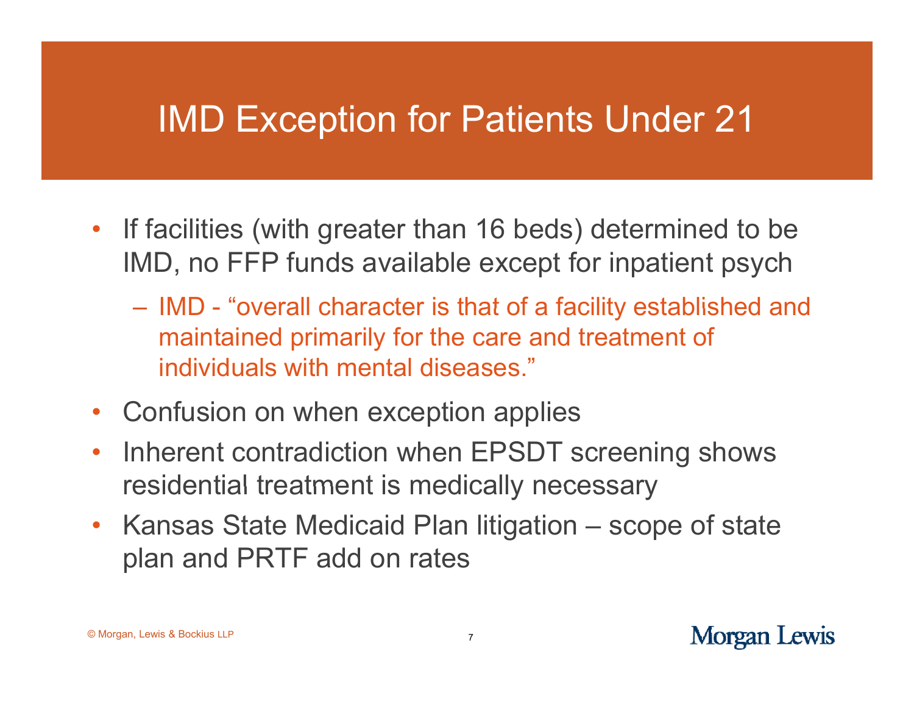## IMD Exception for Patients Under 21

- If facilities (with greater than 16 beds) determined to be IMD, no FFP funds available except for inpatient psych
	- IMD "overall character is that of a facility established and maintained primarily for the care and treatment of individuals with mental diseases."
- •Confusion on when exception applies
- $\bullet$  Inherent contradiction when EPSDT screening shows residential treatment is medically necessary
- Kansas State Medicaid Plan litigation scope of state plan and PRTF add on rates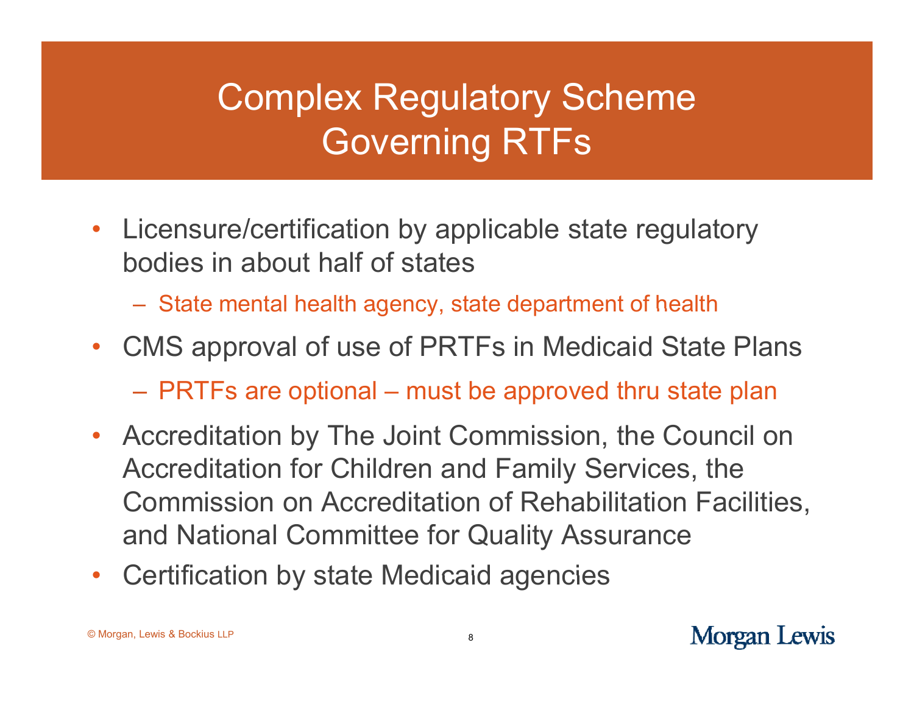# Complex Regulatory Scheme Governing RTFs

- Licensure/certification by applicable state regulatory bodies in about half of states
	- $-$  State mental health agency, state department of health
- CMS approval of use of PRTFs in Medicaid State Plans
	- PRTFs are optional – must be approved thru state plan
- Accreditation by The Joint Commission, the Council on Accreditation for Children and Family Services, the Commission on Accreditation of Rehabilitation Facilities, and National Committee for Quality Assurance
- •Certification by state Medicaid agencies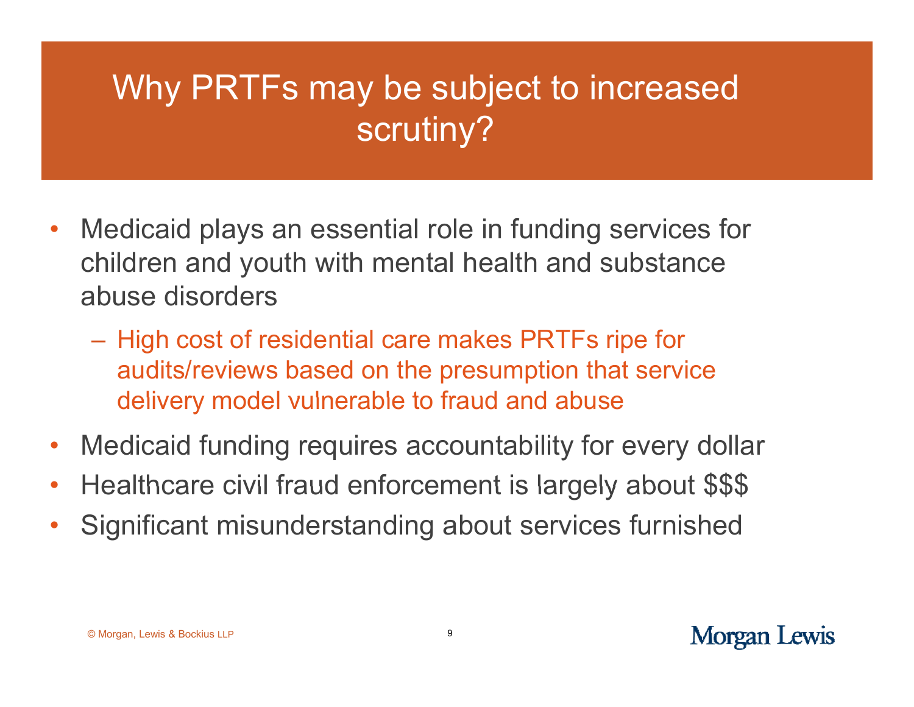## Why PRTFs may be subject to increased scrutiny?

- •• Medicaid plays an essential role in funding services for children and youth with mental health and substance abuse disorders
	- $-$  High cost of residential care makes PRTFs ripe for  $\,$ audits/reviews based on the presumption that service delivery model vulnerable to fraud and abuse
- •Medicaid funding requires accountability for every dollar
- •Healthcare civil fraud enforcement is largely about \$\$\$
- •Significant misunderstanding about services furnished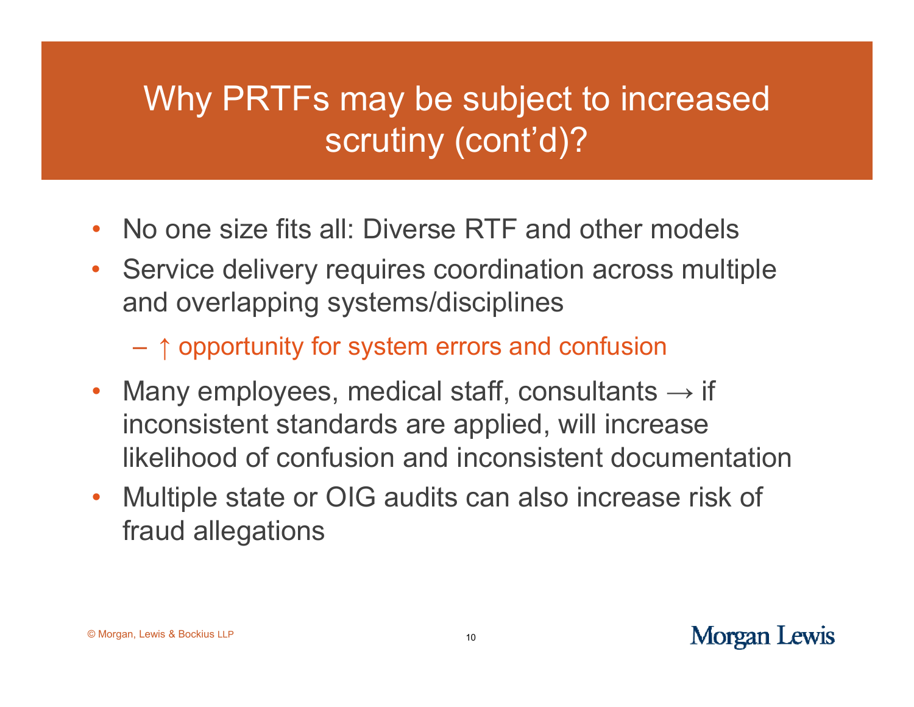## Why PRTFs may be subject to increased scrutiny (cont'd)?

- •• No one size fits all: Diverse RTF and other models
- • Service delivery requires coordination across multiple and overlapping systems/disciplines
	- ↑ opportunity for system errors and confusion
- $\bullet$ • Many employees, medical staff, consultants  $\rightarrow$  if inconsistent standards are applied, will increase likelihood of confusion and inconsistent documentation
- $\bullet$  Multiple state or OIG audits can also increase risk of fraud allegations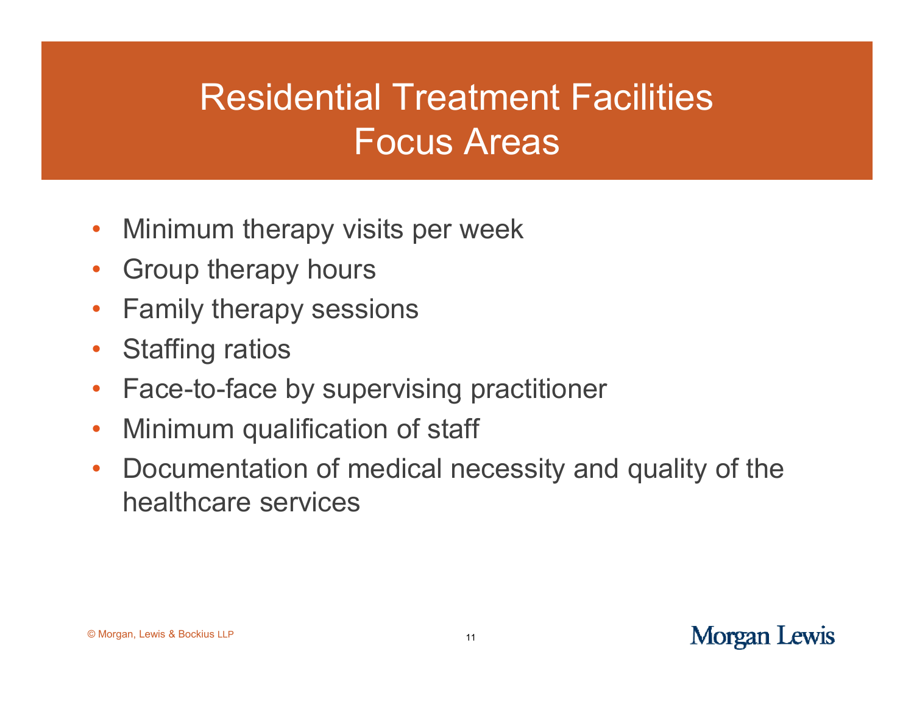## Residential Treatment FacilitiesFocus Areas

- $\bullet$ • Minimum therapy visits per week
- $\bullet$ Group therapy hours
- $\bullet$ Family therapy sessions
- $\bullet$ Staffing ratios
- $\bullet$ • Face-to-face by supervising practitioner
- •Minimum qualification of staff
- • Documentation of medical necessity and quality of the healthcare services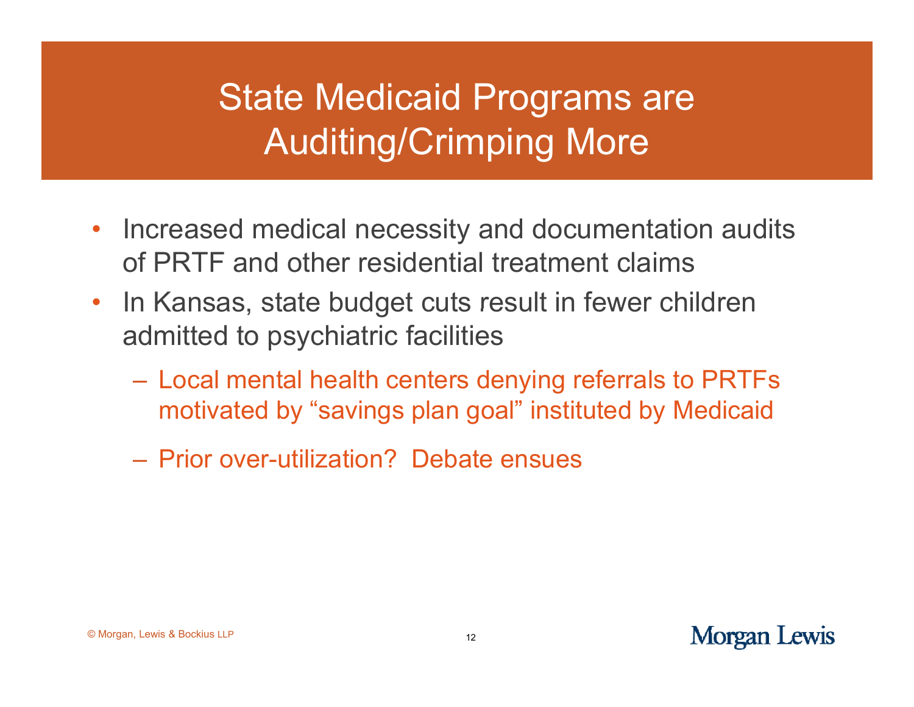## State Medicaid Programs are Auditing/Crimping More

- $\bullet$ • Increased medical necessity and documentation audits of PRTF and other residential treatment claims
- $\bullet$ In Kansas, state budget cuts result in fewer children admitted to psychiatric facilities
	- Local mental health centers denying referrals to PRTFs motivated by "savings plan goal" instituted by Medicaid
	- Prior over-utilization? Debate ensues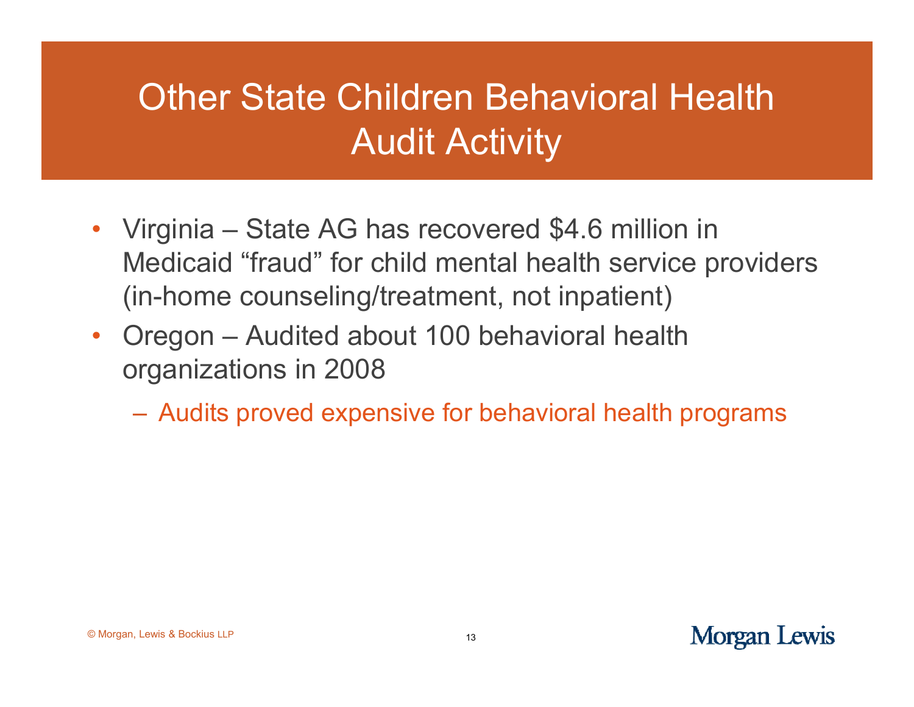## Other State Children Behavioral Health Audit Activity

- Virginia State AG has recovered \$4.6 million in Medicaid "fraud" for child mental health service providers (in-home counseling/treatment, not inpatient)
- • Oregon – Audited about 100 behavioral health organizations in 2008
	- Audits proved expensive for behavioral health programs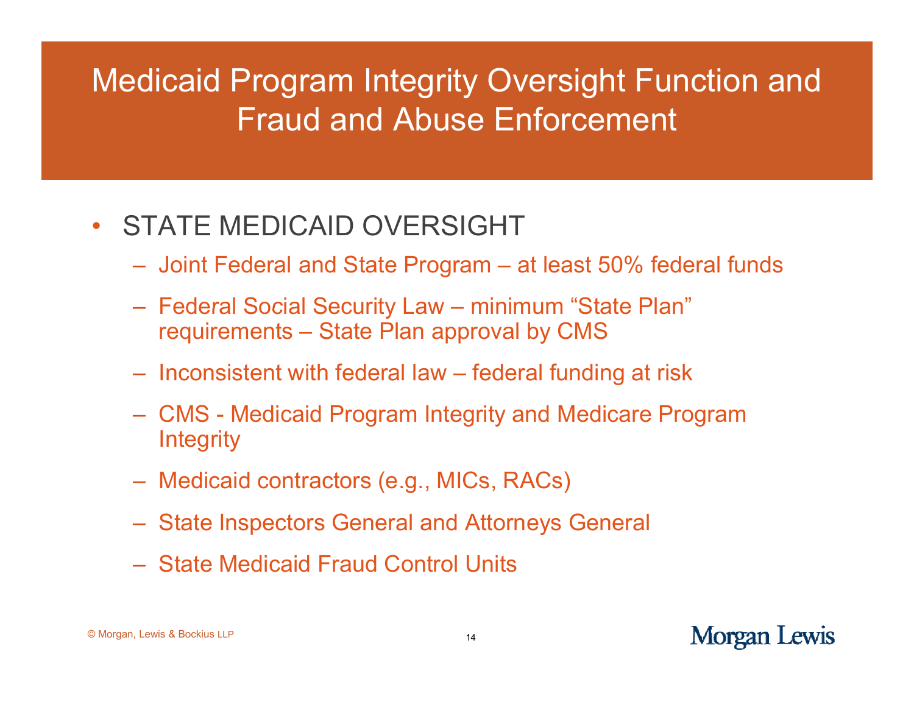#### Medicaid Program Integrity Oversight Function and Fraud and Abuse Enforcement

#### $\bullet$ STATE MEDICAID OVERSIGHT

- Joint Federal and State Program at least 50% federal funds
- Federal Social Security Law – minimum "State Plan" requirements – State Plan approval by CMS
- Inconsistent with federal law federal funding at risk
- CMS Medicaid Program Integrity and Medicare Program **Integrity**
- Medicaid contractors (e.g., MICs, RACs)
- State Inspectors General and Attorneys General
- State Medicaid Fraud Control Units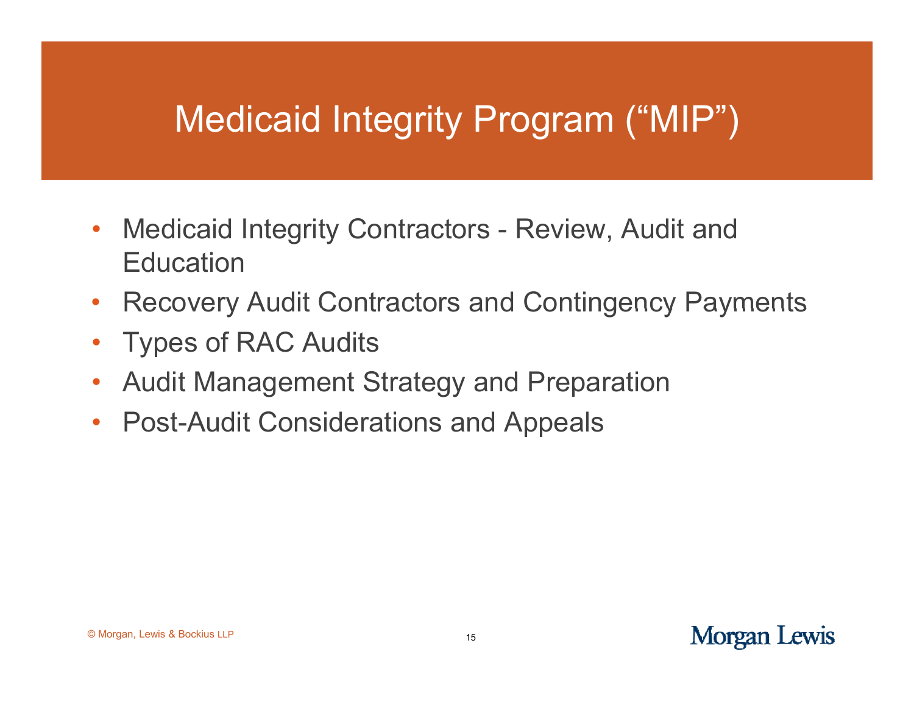## Medicaid Integrity Program ("MIP")

- $\bullet$ • Medicaid Integrity Contractors - Review, Audit and **Education**
- $\bullet$ Recovery Audit Contractors and Contingency Payments
- $\bullet$ Types of RAC Audits
- $\bullet$ Audit Management Strategy and Preparation
- $\bullet$ Post-Audit Considerations and Appeals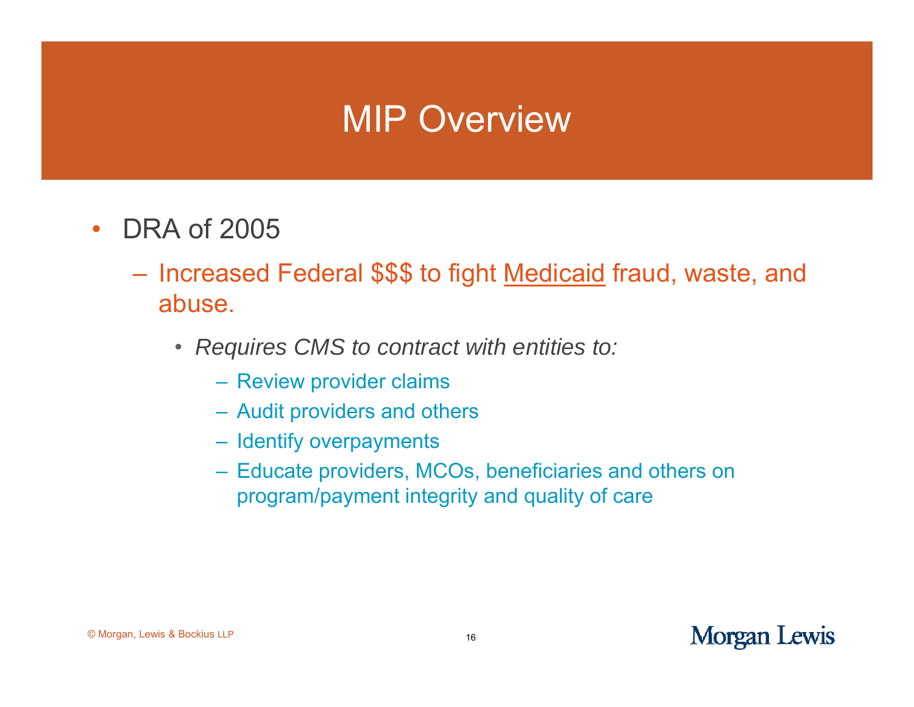#### MIP Overview

- $\bullet$  $\cdot$  DRA of 2005
	- Increased Federal \$\$\$ to fight Medicaid fraud, waste, and abuse.
		- *Requires CMS to contract with entities to:*
			- Review provider claims
			- Audit providers and others
			- Identify overpayments
			- Educate providers, MCOs, beneficiaries and others on program/payment integrity and quality of care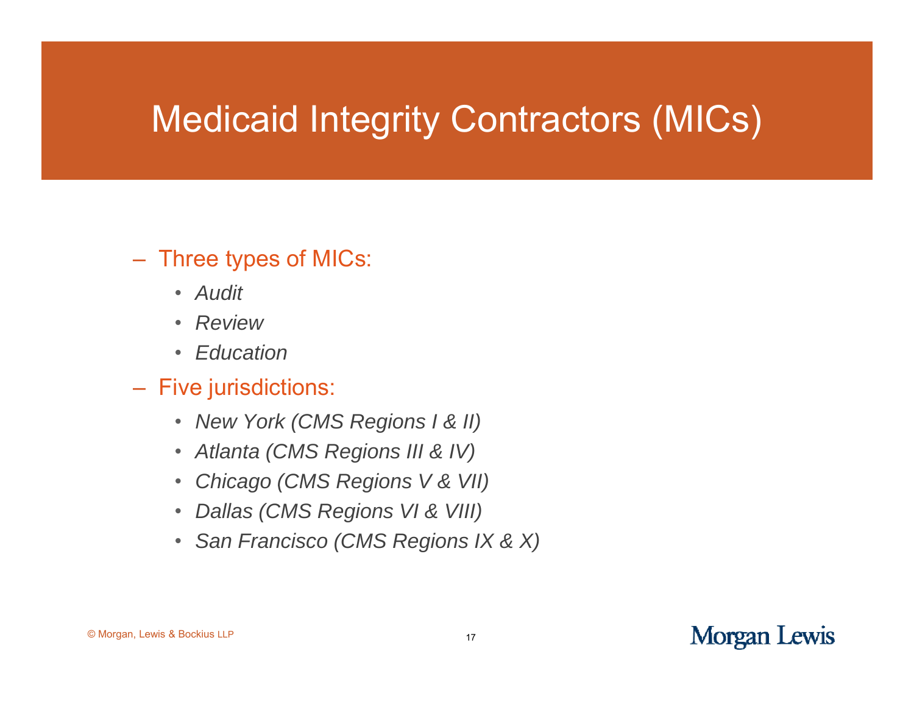## Medicaid Integrity Contractors (MICs)

#### $-$  Three types of MICs:

- *Audit*
- *Review*
- *Education*
- Five jurisdictions:
	- *New York (CMS Regions I & II)*
	- *Atlanta (CMS Regions III & IV)*
	- $\bullet$ *Chicago (CMS Regions V & VII) V &*
	- *Dallas (CMS Regions VI & VIII)*
	- *San Francisco (CMS Regions IX & X)*

#### © Morgan, Lewis & Bockius LLP <sup>17</sup>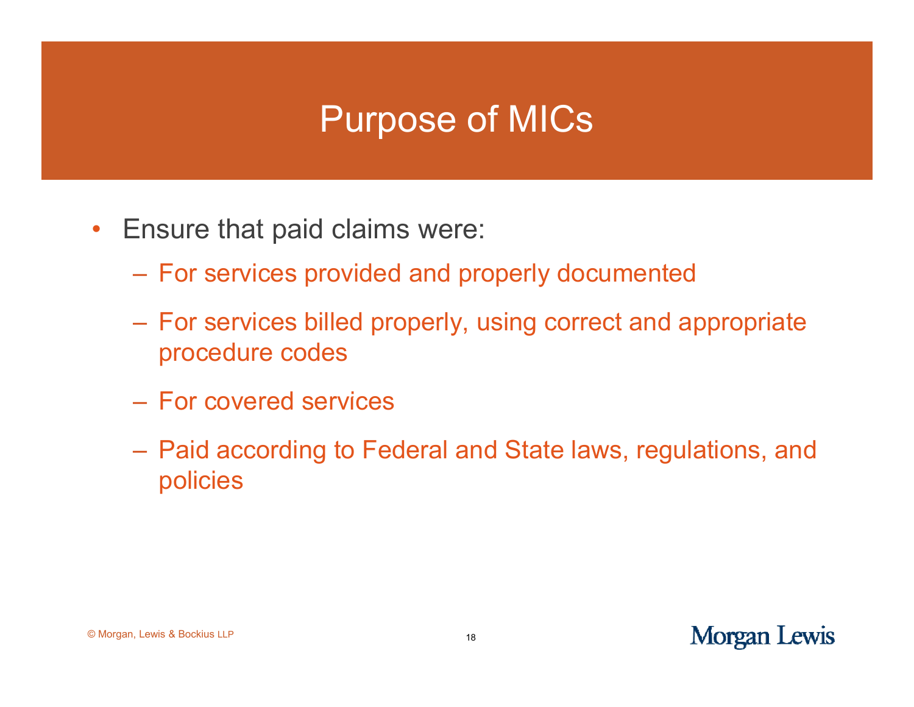#### Purpose of MICs

- $\bullet$ Ensure that paid claims were:
	- For services provided and properly documented
	- For services billed properly, using correct and appropriate procedure codes
	- For covered services
	- Paid according to Federal and State laws, regulations, and policies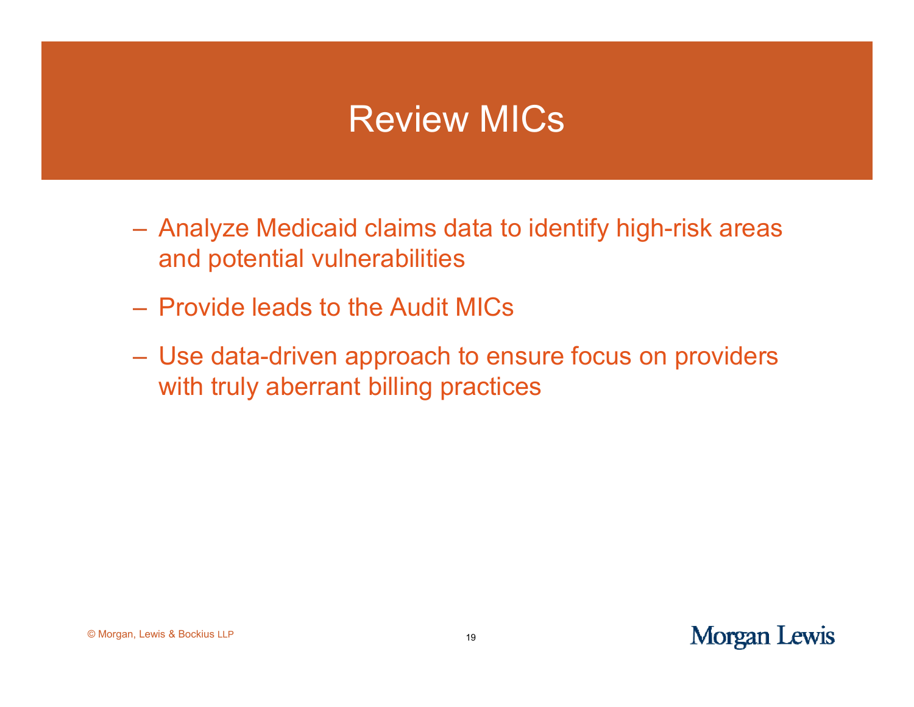#### Review MICs

- Analyze Medicaid claims data to identify high-risk areas and potential vulnerabilities
- Provide leads to the Audit MICs
- Use data-driven approach to ensure focus on providers with truly aberrant billing practices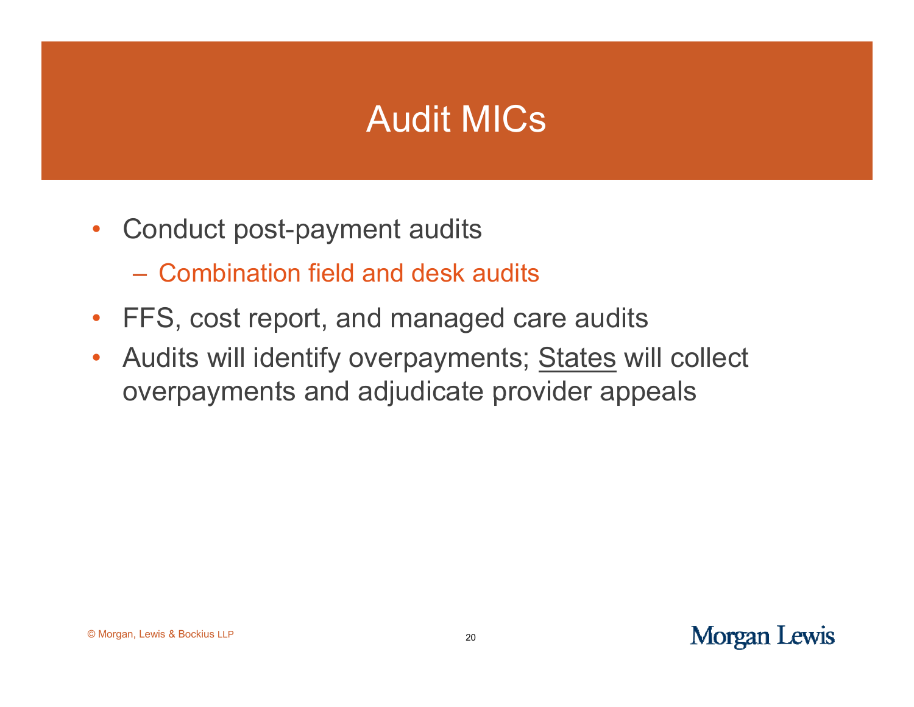#### Audit MICs

- $\bullet$ • Conduct post-payment audits
	- Combination field and desk audits
- FFS, cost report, and managed care audits
- • Audits will identify overpayments; States will collect overpayments and adjudicate provider appeals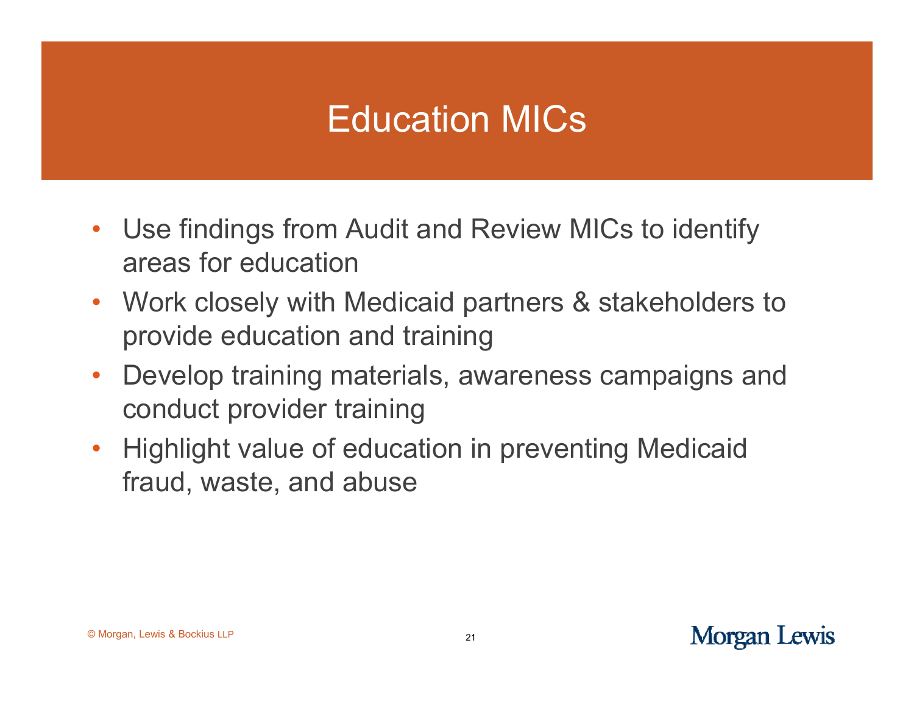## Education MICs

- Use findings from Audit and Review MICs to identify areas for education
- Work closely with Medicaid partners & stakeholders to provide education and training
- $\bullet$  Develop training materials, awareness campaigns and conduct provider training
- Highlight value of education in preventing Medicaid fraud, waste, and abuse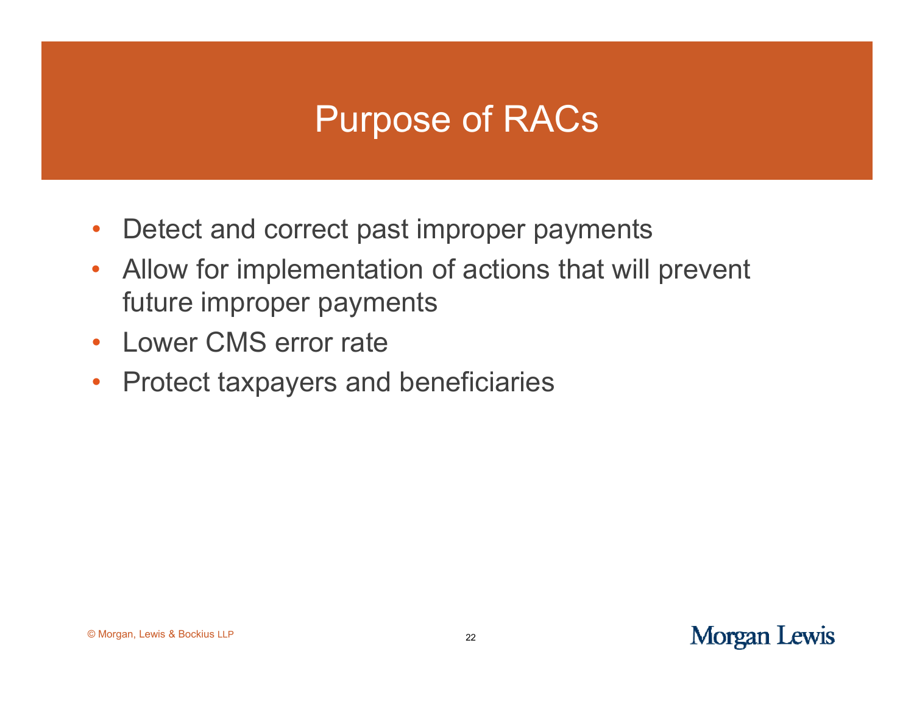## Purpose of RACs

- $\bullet$ Detect and correct past improper payments
- • Allow for implementation of actions that will prevent future improper payments
- Lower CMS error rate
- $\bullet$ Protect taxpayers and beneficiaries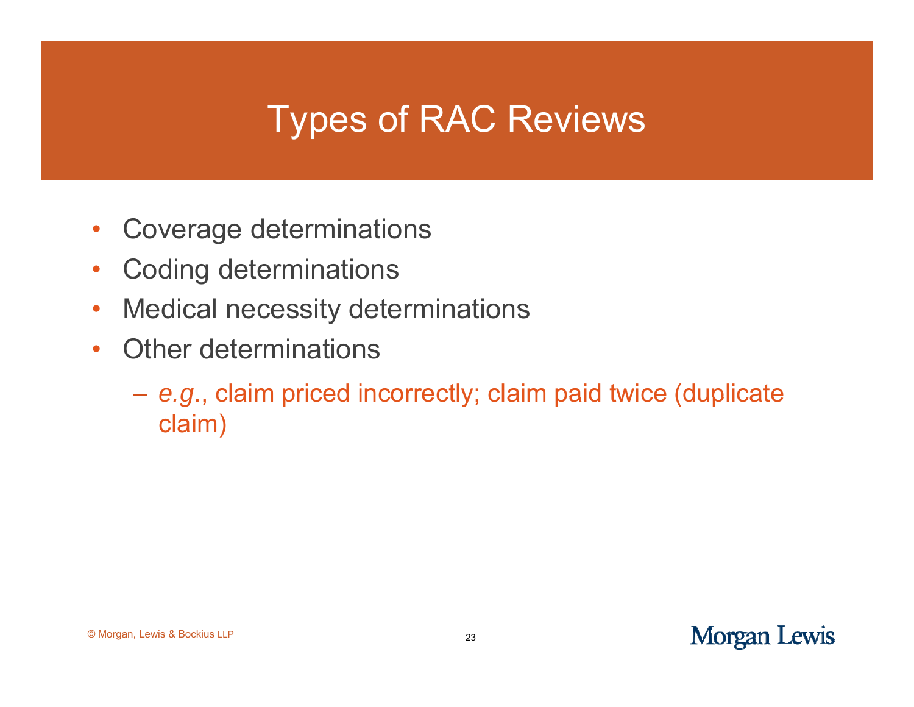## Types of RAC Reviews

- $\bullet$ • Coverage determinations
- $\bullet$ Coding determinations
- •Medical necessity determinations
- $\bullet$  Other determinations
	- *<sup>e</sup> g.* ., claim priced incorrectly; claim paid twice (duplicate twice claim)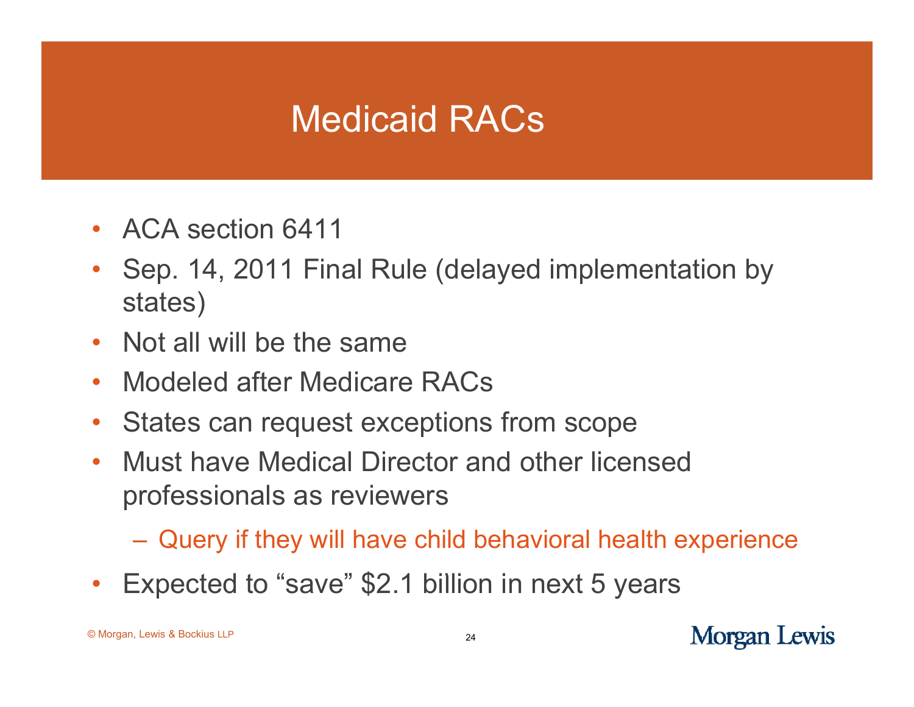## Medicaid RACs

- ACA section 6411
- • Sep. 14, 2011 Final Rule (delayed implementation by states)
- •Not all will be the same
- $\bullet$ Modeled after Medicare RACs
- $\bullet$ States can request exceptions from scope
- $\bullet$  Must have Medical Director and other licensed professionals as reviewers
	- Query if they will have child behavioral health experience
- Expected to "save" \$2.1 billion in next 5 years •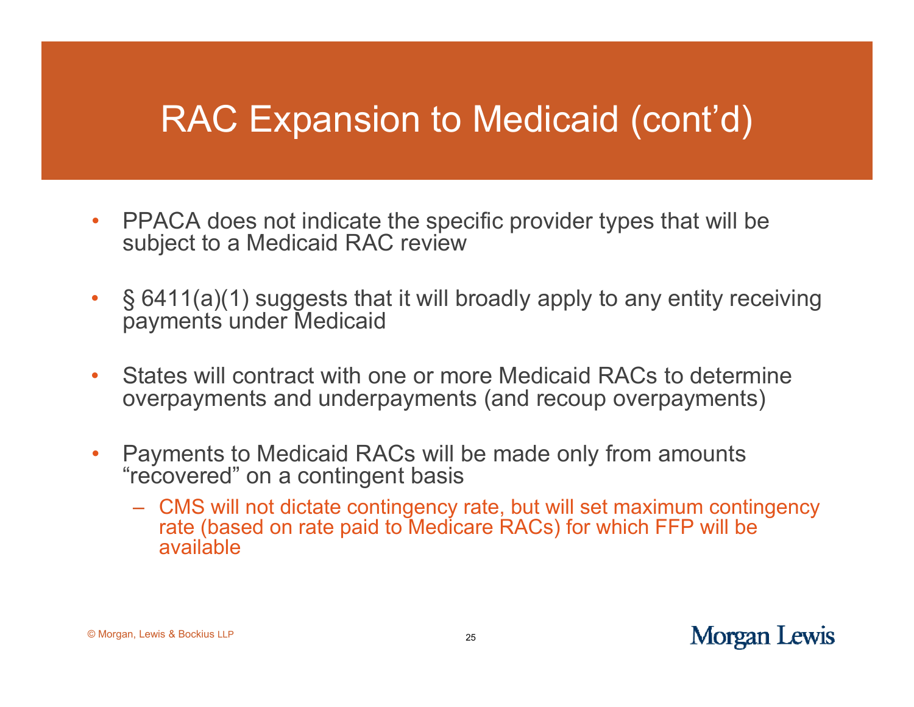## RAC Expansion to Medicaid (cont'd)

- $\bullet$ PPACA does not indicate the specific provider types that will be subject to a Medicaid RAC review
- $\bullet$ § 6411(a)(1) suggests that it will broadly apply to any entity receiving payments under Medicaid
- $\bullet$  States will contract with one or more Medicaid RACs to determine overpayments and underpayments (and recoup overpayments)
- $\bullet$  Payments to Medicaid RACs will be made only from amounts "recovered" on a contin gent basis
	- CMS will not dictate contingency rate, but will set maximum contingency rate (based on rate paid to Medicare RACs) for which FFP will be available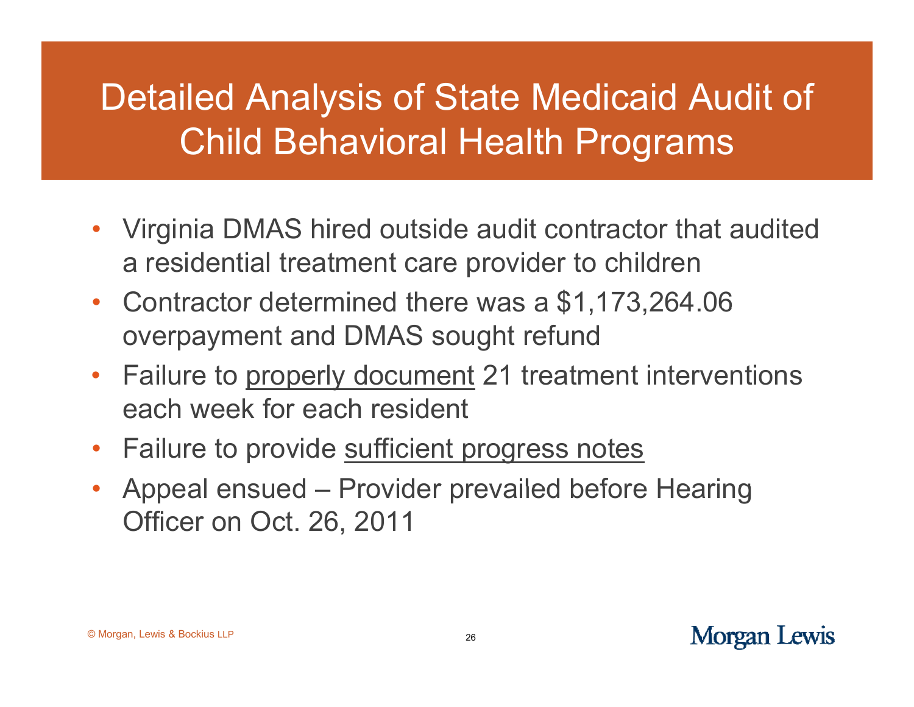## Detailed Analysis of State Medicaid Audit of Child Behavioral Health Programs

- Virginia DMAS hired outside audit contractor that audited a residential treatment care provider to children
- Contractor determined there was a \$1,173,264.06 overpayment and DMAS sought refund
- •Failure to properly document 21 treatment interventions each week for each resident
- •Failure to provide sufficient progress notes
- Appeal ensued – Provider prevailed before Hearing Officer on Oct. 26, 2011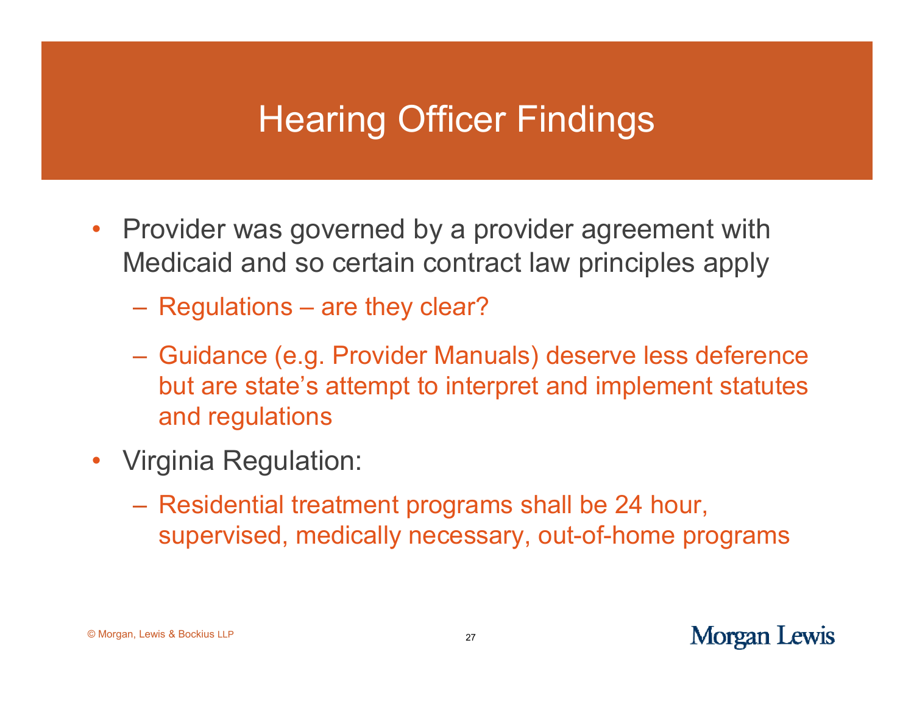## Hearing Officer Findings

- Provider was governed by a provider agreement with Medicaid and so certain contract law principles apply
	- Regulations – are they clear?
	- Guidance (e.g. Provider Manuals) deserve less deference but are state's attempt to interpret and implement statutes and regulations
- • Virginia Regulation:
	- Residential treatment programs shall be 24 hour, supervised, medically necessary, out-of-home programs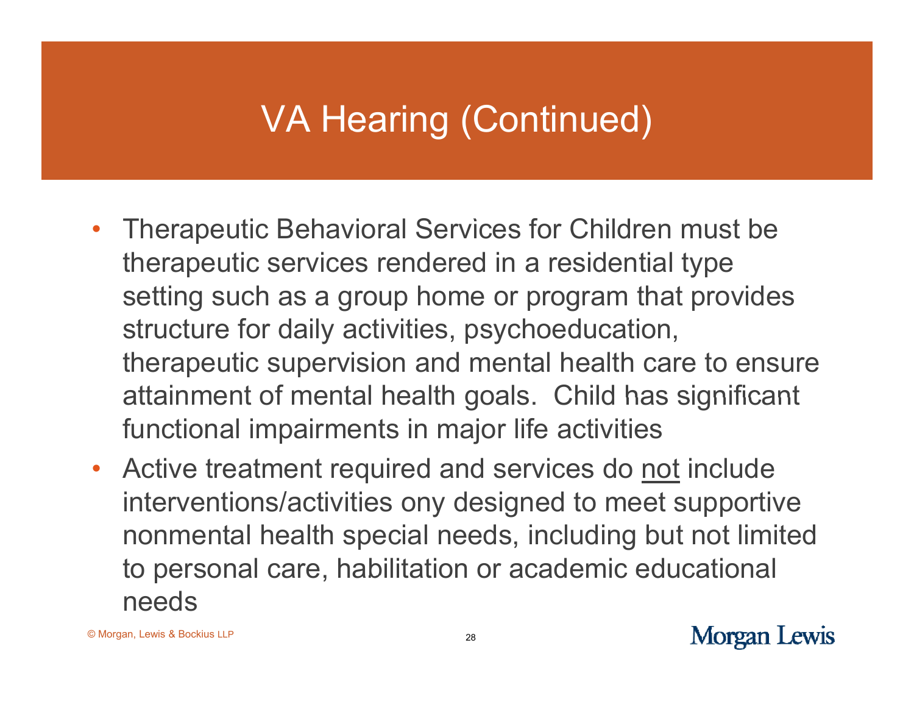## VA Hearing (Continued)

- Therapeutic Behavioral Services for Children must be therapeutic services rendered in a residential type setting such as a group home or program that provides structure for daily activities, psychoeducation, therapeutic supervision and mental health care to ensure attainment of mental health goals. Child has significant functional impairments in major life activities
- Active treatment required and services do not include interventions/activities ony designed to meet supportive nonmental health special needs, including but not limited to personal care, habilitation or academic educational needs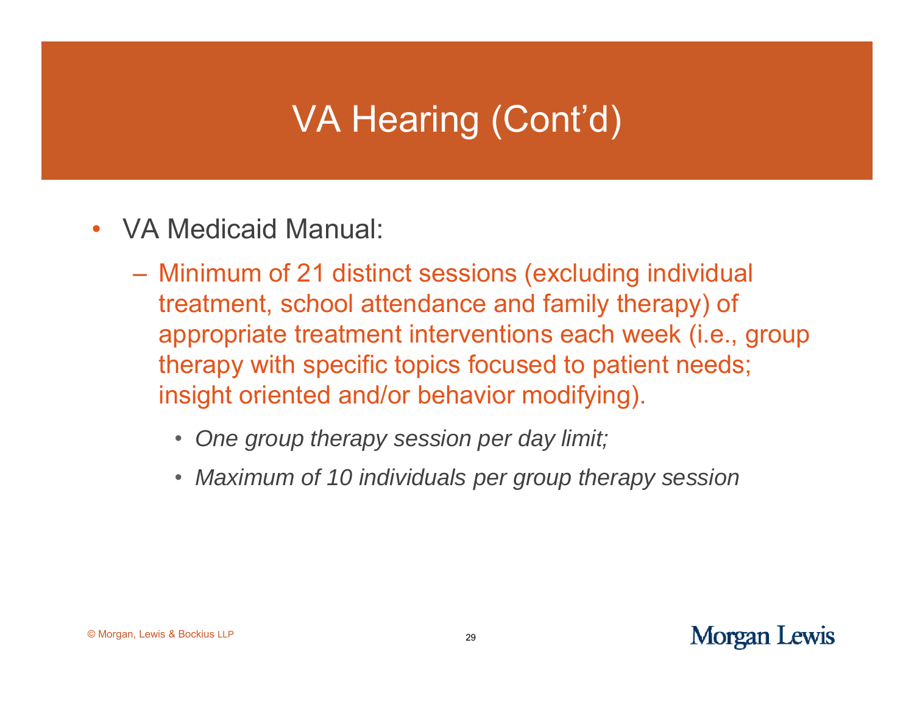- $\bullet$ VA Medicaid Manual:
	- Minimum of 21 distinct sessions (excluding individual treatment, school attendance and family therapy) of appropriate treatment interventions each week (i.e., group therapy with specific topics focused to patient needs; insight oriented and/or behavior modifying).
		- $\bullet$ *One group therapy session per day limit;*
		- *Maximum of 10 individuals p g p py er group therapy session*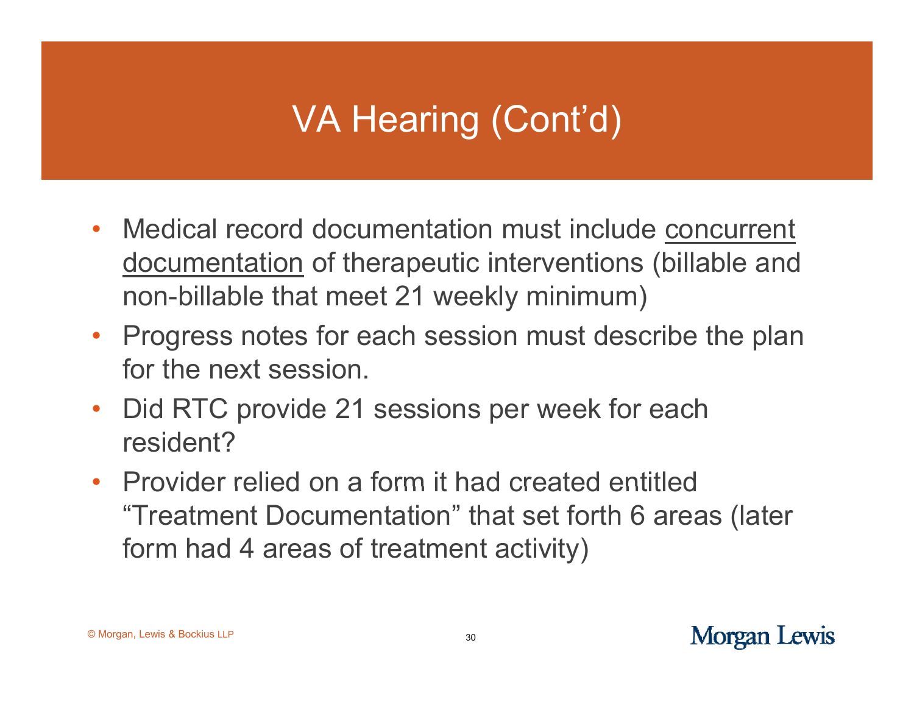- Medical record documentation must include concurrent documentation of therapeutic interventions (billable and non-billable that meet 21 weekly minimum)
- Progress notes for each session must describe the plan for the next session.
- Did RTC provide 21 sessions per week for each resident?
- Provider relied on a form it had created entitled "Treatment Documentation" that set forth 6 areas (later form had 4 areas of treatment activity)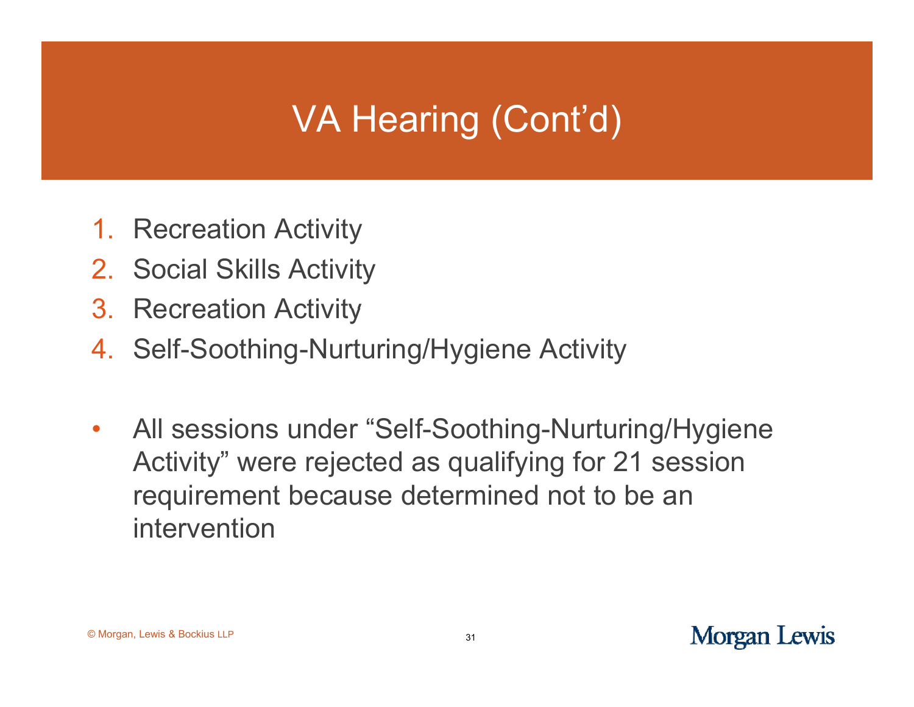- 1. Recreation Activity
- 2. Social Skills Activity
- 3. Recreation Activity
- 4. Self-Soothing-Nurturing/Hygiene Activity
- $\bullet$  All sessions under "Self-Soothing-Nurturing/Hygiene Activity" were rejected as qualifying for 21 session requirement because determined not to be an intervention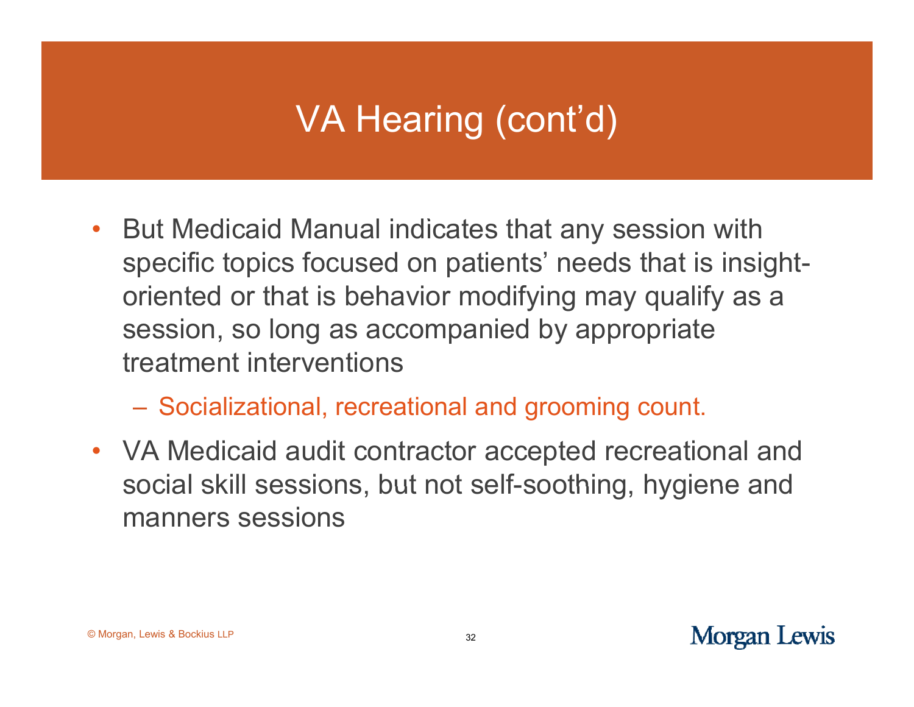- But Medicaid Manual indicates that any session with specific topics focused on patients' needs that is insightoriented or that is behavior modifying may qualify as a session, so long as accompanied by appropriate treatment interventions
	- Socializational, recreational and grooming count.
- VA Medicaid audit contractor accepted recreational and social skill sessions, but not self-soothing, hygiene and manners sessions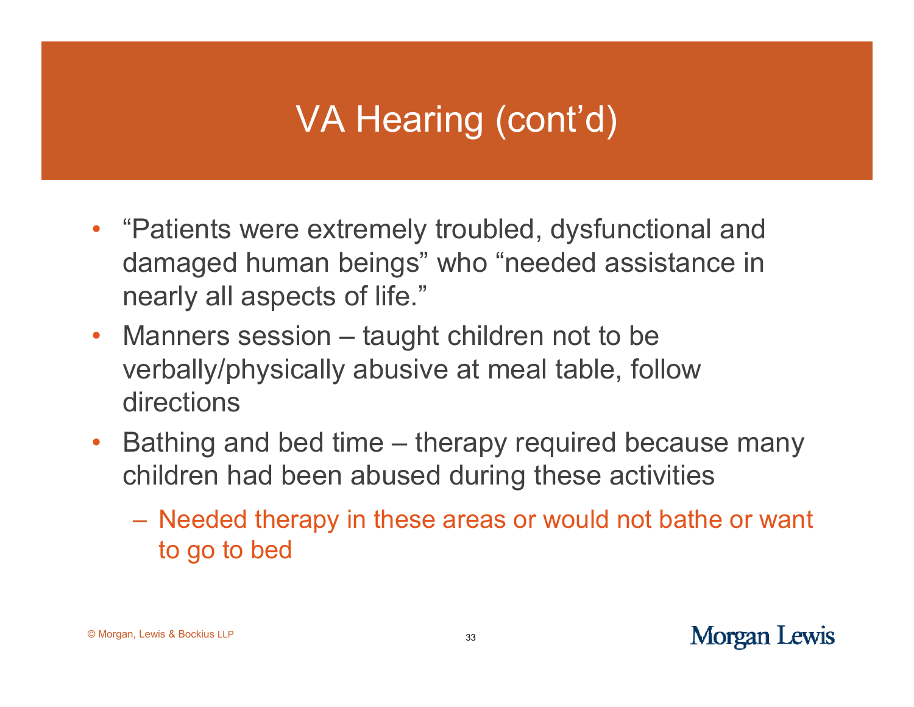- "Patients were extremely troubled, dysfunctional and damaged human beings" who "needed assistance in nearly all aspects of life."
- Manners session taught children not to be verbally/physically abusive at meal table, follow directions
- $\bullet$  Bathing and bed time – therapy required because many children had been abused during these activities
	- Needed therapy in these areas or would not bathe or want to go to bed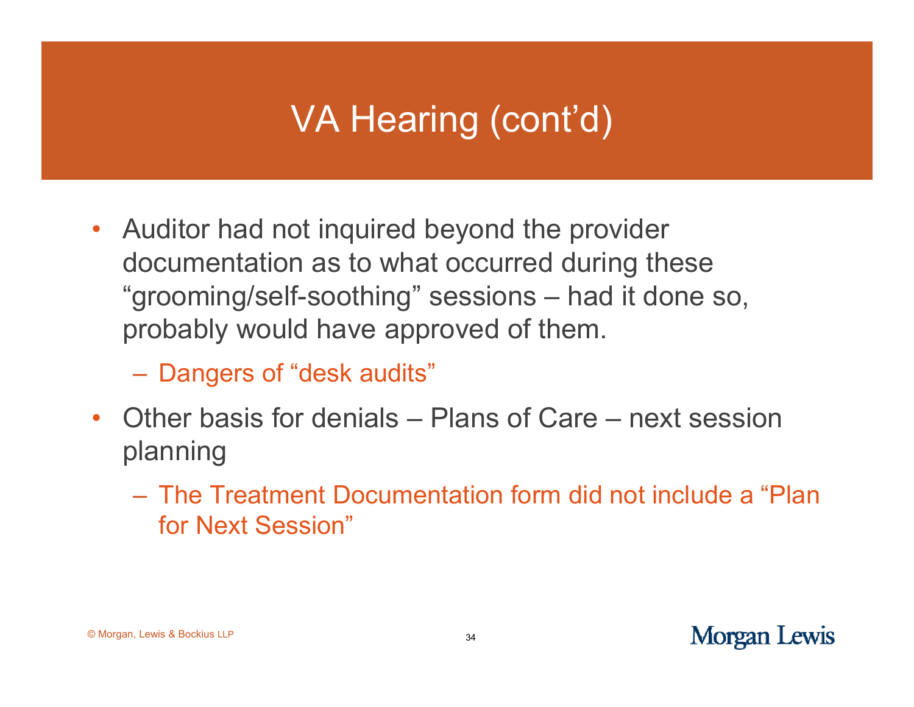- Auditor had not inquired beyond the provider documentation as to what occurred during these "grooming/self-soothing" sessions - had it done so, probably would have approved of them.
	- Dangers of "desk audits"
- Other basis for denials Plans of Care next session planning
	- The Treatment Documentation form did not include a "Plan for Next Session"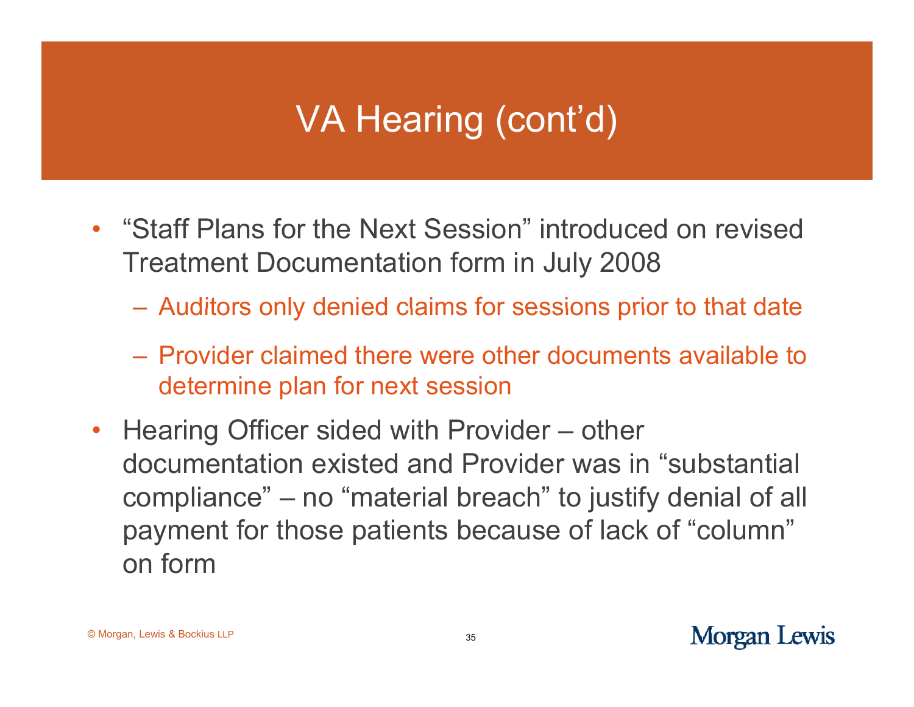- "Staff Plans for the Next Session" introduced on revised Treatment Documentation form in July 2008
	- $-$  Auditors only denied claims for sessions prior to that date
	- Provider claimed there were other documents available to determine plan for next session
- Hearing Officer sided with Provider other documentation existed and Provider was in "substantial compliance" – no "material breach" to justify denial of all payment for those patients because of lack of "column" on form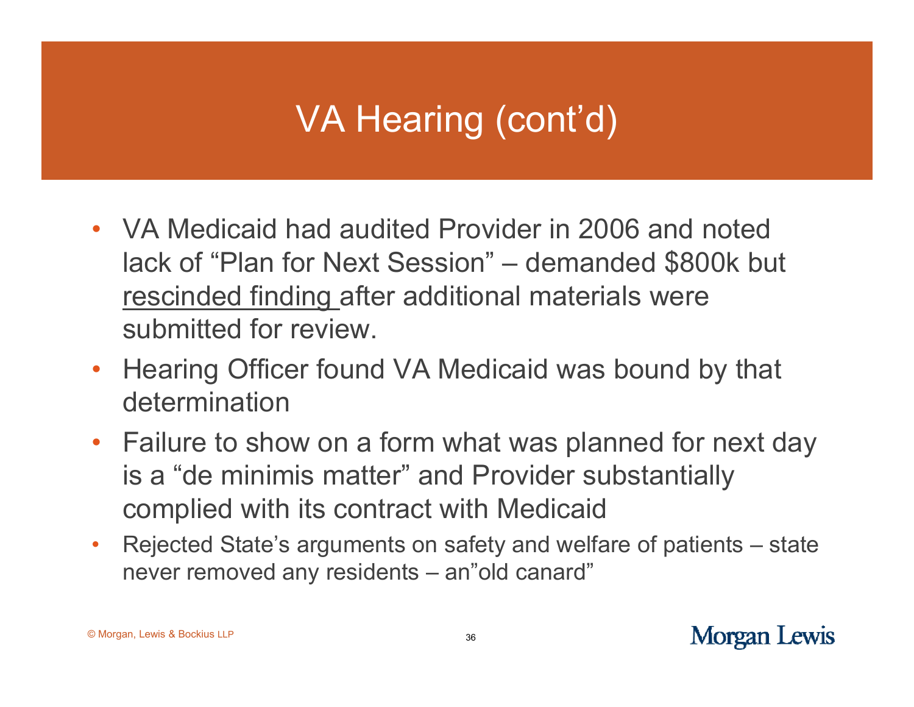- VA Medicaid had audited Provider in 2006 and noted lack of "Plan for Next Session" – demanded \$800k but rescinded finding after additional materials were submitted for review.
- Hearing Officer found VA Medicaid was bound by that determination
- Failure to show on a form what was planned for next day is a "de minimis matter" and Provider substantially complied with its contract with Medicaid
- $\bullet$  Rejected State's arguments on safety and welfare of patients – state never removed any residents – an"old canard"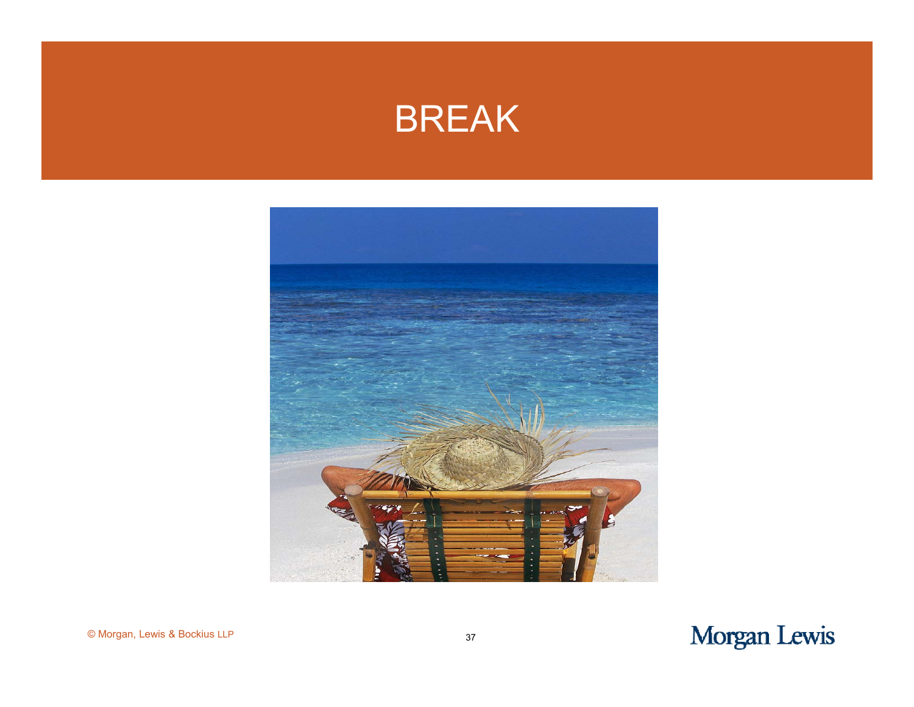#### BREAK



#### Morgan Lewis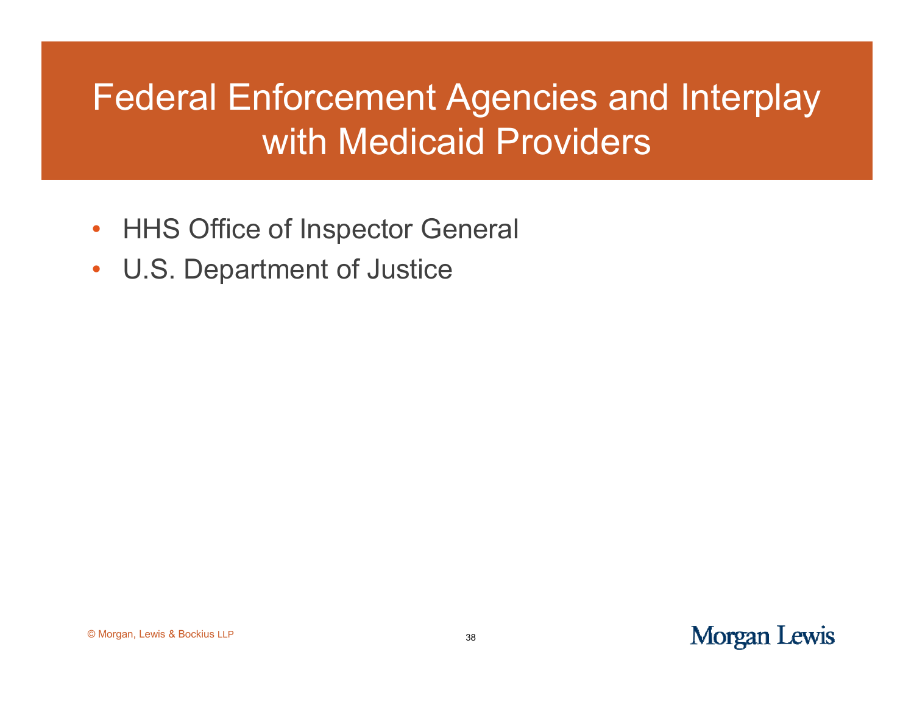## Federal Enforcement Agencies and Interplay with Medicaid Providers

- HHS Office of Inspector General
- •U.S. Department of Justice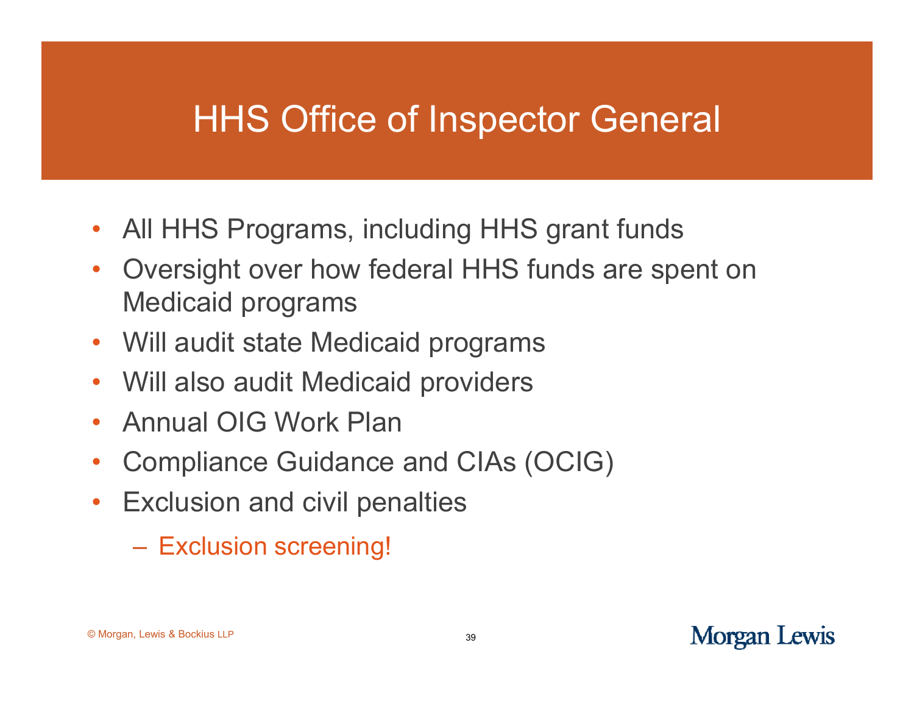#### **HHS Office of Inspector General**

- All HHS Programs, including HHS grant funds
- $\bullet$  Oversight over how federal HHS funds are spent on Medicaid programs
- Will audit state Medicaid programs
- $\bullet$ Will also audit Medicaid providers
- $\bullet$ Annual OIG Work Plan
- $\bullet$ Compliance Guidance and CIAs (OCIG)
- Exclusion and civil penalties
	- Exclusion screening!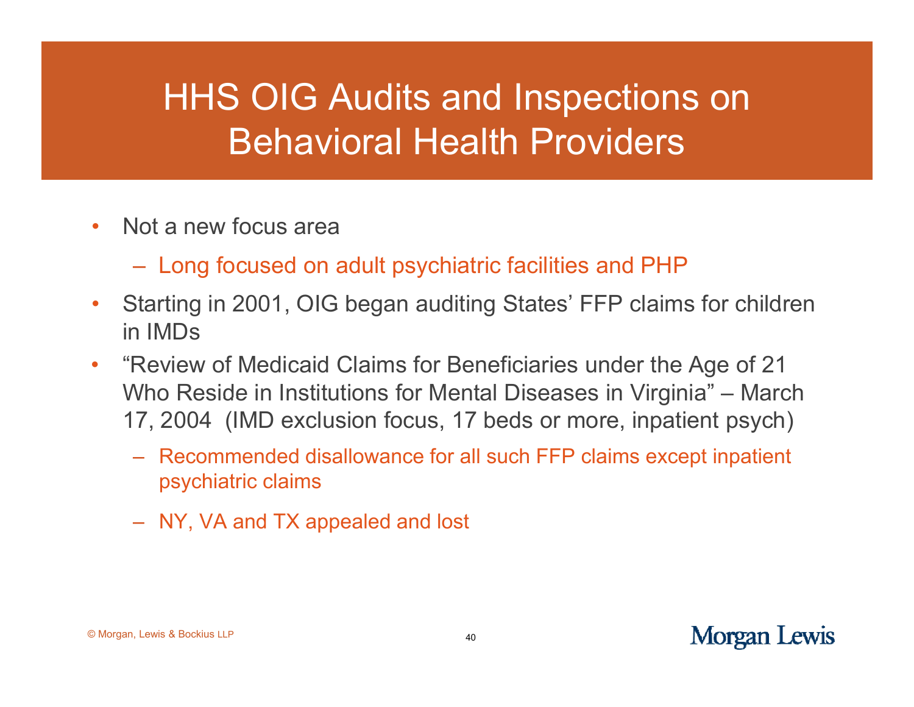## HHS OIG Audits and Inspections on Behavioral Health Providers

- $\bullet$ • Not a new focus area
	- $-$  Long focused on adult psychiatric facilities and PHP  $\,$
- •Starting in 2001, OIG began auditing States' FFP claims for children in IMDs
- $\bullet$  "Review of Medicaid Claims for Beneficiaries under the Age of 21 Who Reside in Institutions for Mental Diseases in Virginia" " – March 17, 2004 (IMD exclusion focus, 17 beds or more, inpatient psych)
	- Recommended disallowance for all such FFP claims except inpatient psychiatric claims
	- NY, VA and TX appealed and lost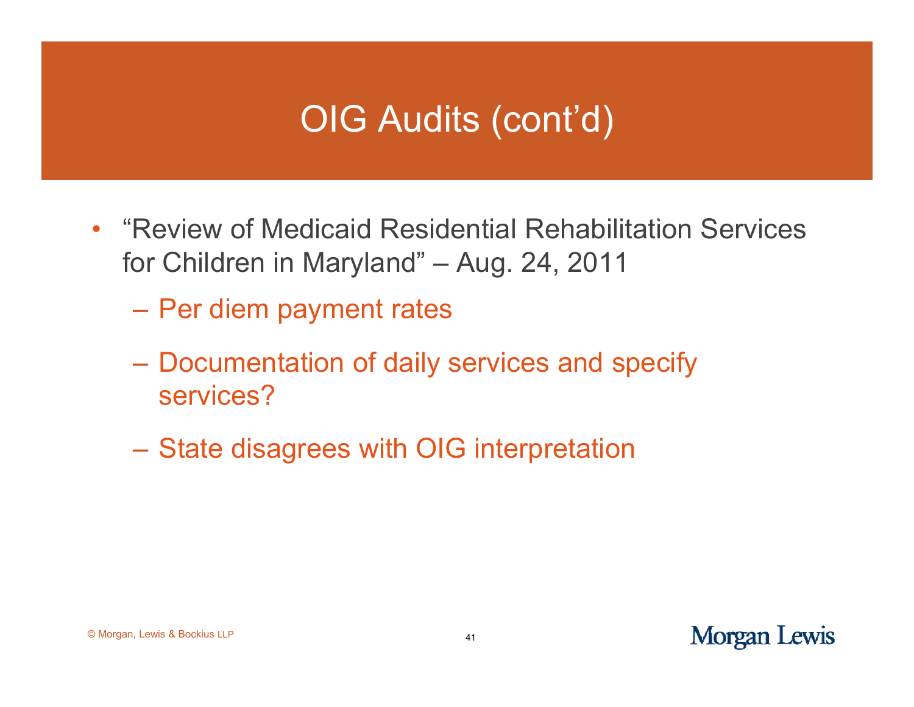## OIG Audits (cont'd)

- "Review of Medicaid Residential Rehabilitation Services" for Children in Maryland" – Aug. 24, 2011
	- Per diem payment rates
	- Documentation of daily services and specify services?
	- State disagrees with OIG interpretation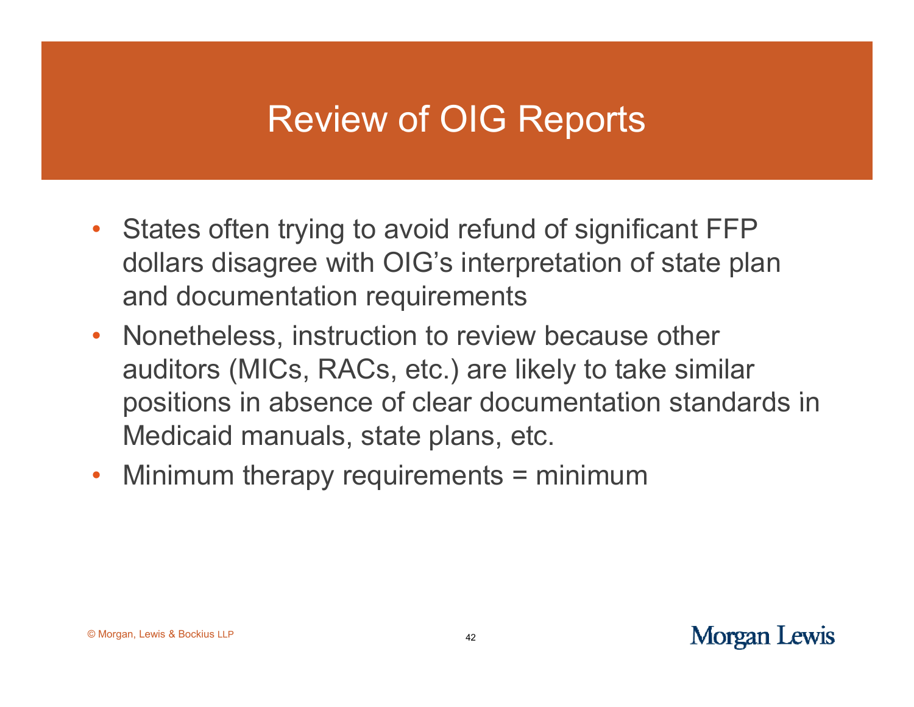## **Review of OIG Reports**

- States often trying to avoid refund of significant FFP dollars disagree with OIG's interpretation of state plan and documentation re quirements
- Nonetheless, instruction to review because other auditors (MICs, RACs, etc.) are likely to take similar positions in absence of clear documentation standards in Medicaid manuals, state plans, etc.
- $\bullet$ • Minimum therapy requirements = minimum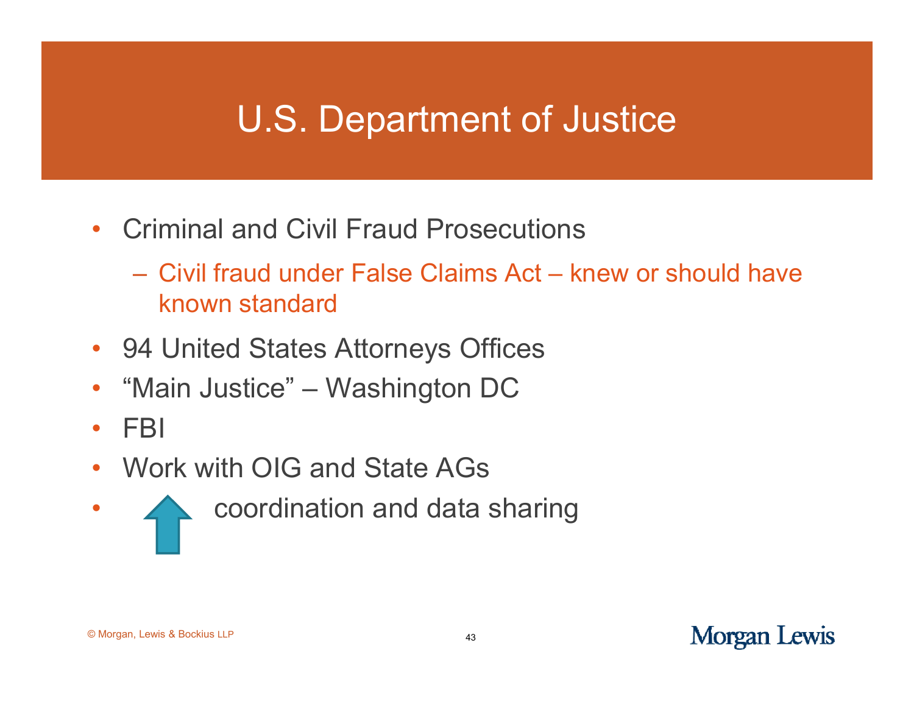## U.S. Department of Justice

- $\bullet$ • Criminal and Civil Fraud Prosecutions \_\_\_\_\_\_\_
	- Civil fraud under False Claims Act knew or should have known standard
- 94 United States Attorneys Offices
- •"Main Justice" –Washington DC
- $\bullet$ FBI
- $\bullet$ Work with OIG and State AGs
- •coordination and data sharing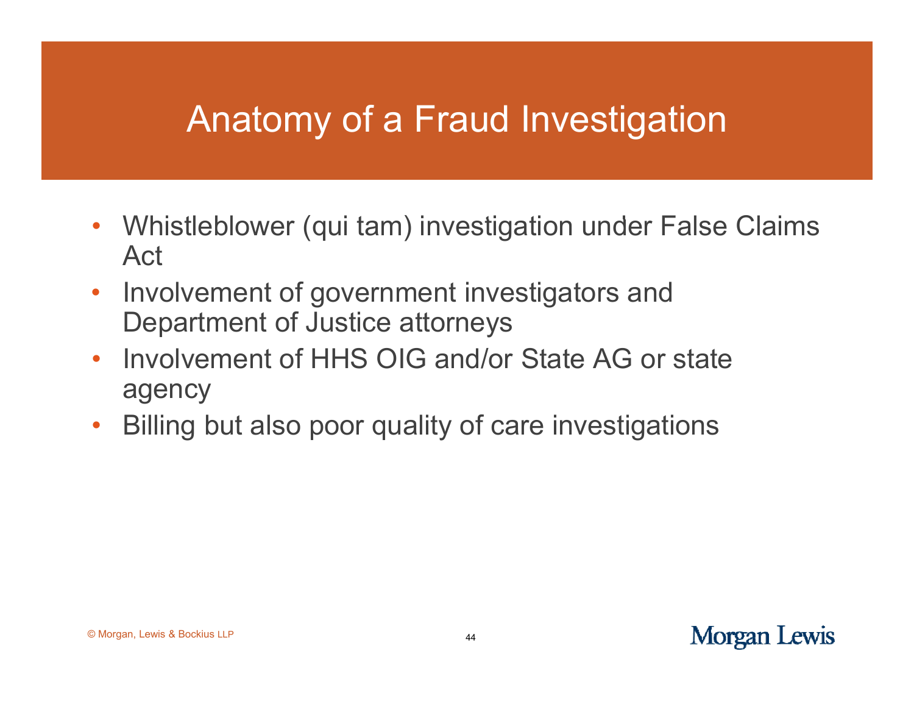## Anatomy of <sup>a</sup> Fraud Investigation

- $\bullet$ • Whistleblower (qui tam) investigation under False Claims Act
- $\bullet$  Involvement of government investigators and Department of Justice attorneys
- $\bullet$  Involvement of HHS OIG and/or State AG or state agency
- $\bullet$ Billing but also poor quality of care investigations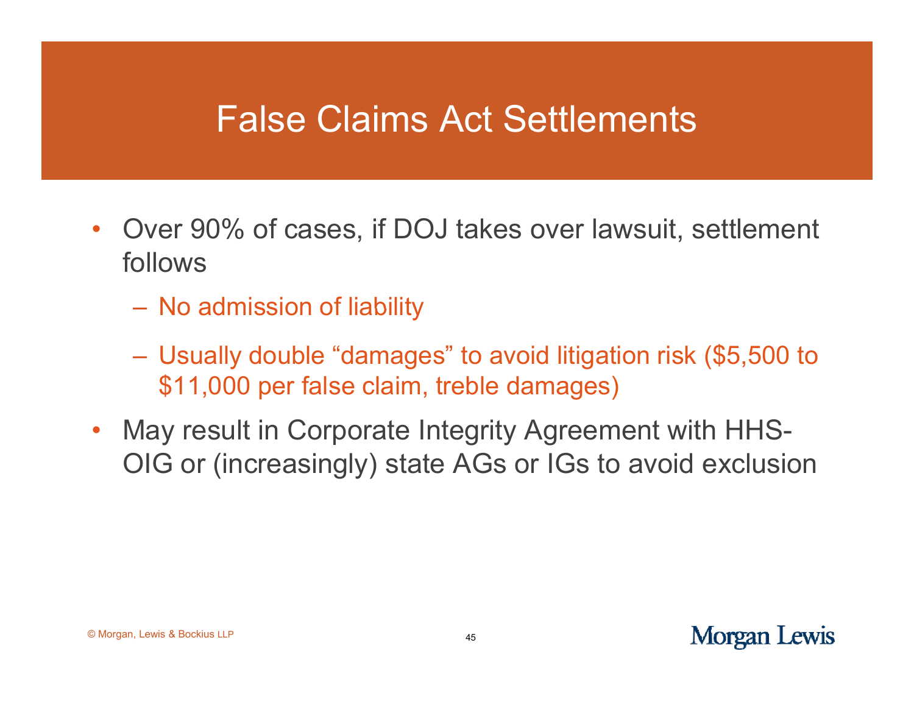#### False Claims Act Settlements

- $\bullet$ • Over 90% of cases, if DOJ takes over lawsuit, settlement follows
	- No admission of liability
	- Usually double "damages" to avoid litigation risk (\$5,500 to \$11,000 per false claim, treble damages)
- • May result in Corporate Integrity Agreement with HHS-OIG or (increasingly) state AGs or IGs to avoid exclusion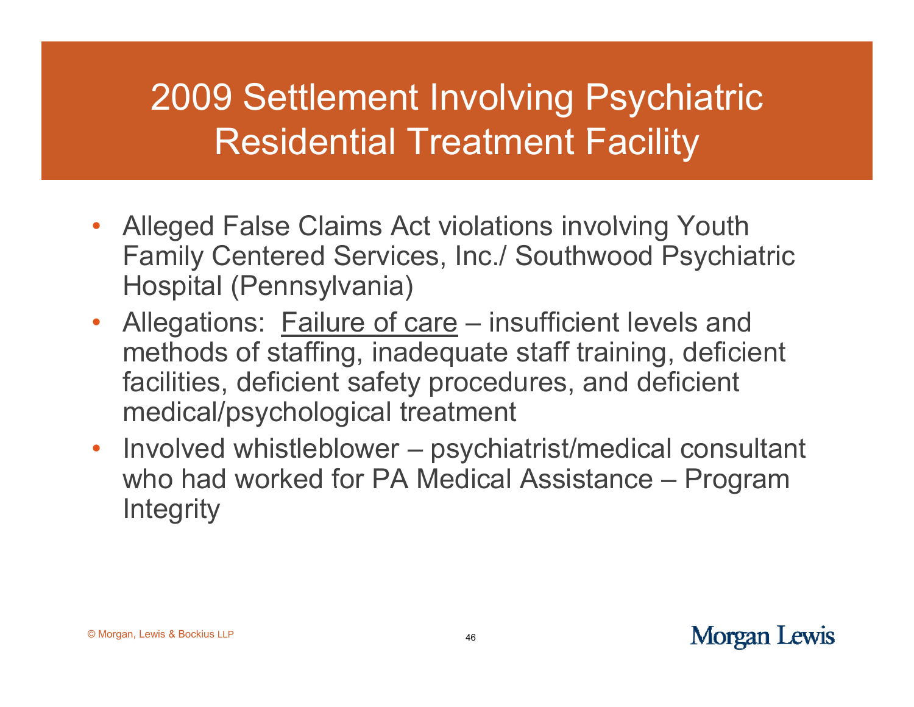## 2009 Settlement Involving Psychiatric Residential Treatment Facility

- Alleged False Claims Act violations involving Youth Family Centered Services, Inc./ Southwood Psychiatric Hospital (Pennsylvania)
- Allegations: Failure of care – insufficient levels and methods of staffing, inadequate staff training, deficient facilities, deficient safet y procedures, and deficient medical/psychological treatment
- Involved whistleblower psychiatrist/medical consultant who had worked for PA Medical Assistance – Program **Integrity**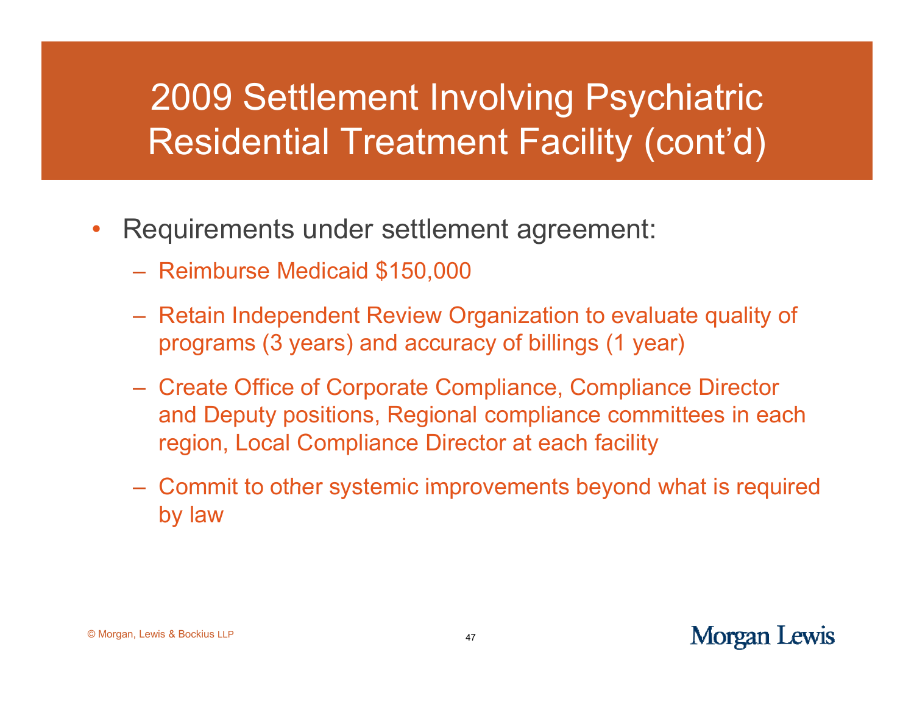## 2009 Settlement Involving Psychiatric Residential Treatment Facility (cont'd)

- •• Requirements under settlement agreement:
	- Reimburse Medicaid \$150,000
	- Retain Independent Review Organization to evaluate quality of programs (3 years) and accuracy of billings (1 year)
	- Create Office of Corporate Compliance, Compliance Director and Deputy positions, Regional compliance committees in each region, Local Compliance Director at each facility
	- $-$  Commit to other systemic improvements beyond what is required by law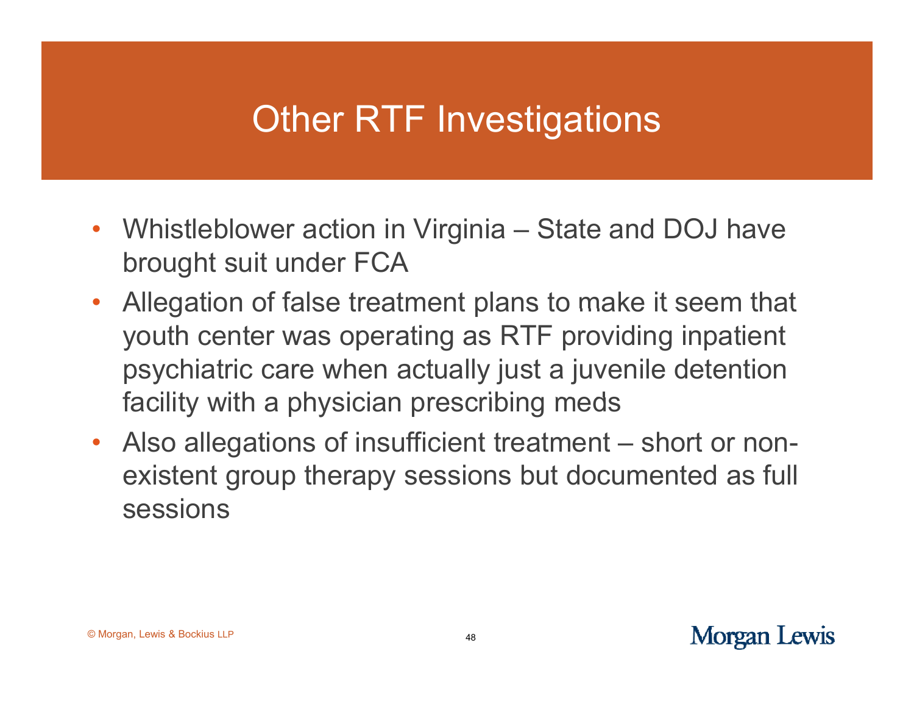## Other RTF Investigations

- $\bullet$ • Whistleblower action in Virginia – State and DOJ have brought suit under FCA
- • Allegation of false treatment plans to make it seem that youth center was operating as RTF providing inpatient psychiatric care when actually just a juvenile detention facility with a physician prescribing meds
- $\bullet$  Also allegations of insufficient treatment – short or nonexistent group therapy sessions but documented as full sessions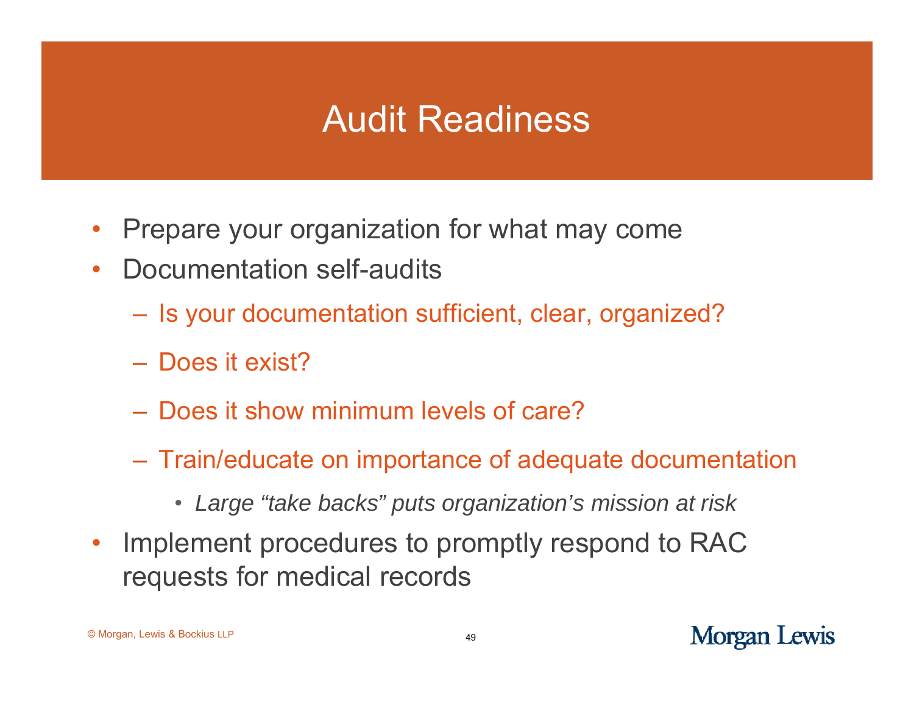## Audit Readiness

- •Prepare your organization for what may come
- $\bullet$  Documentation self-audits
	- Is your documentation sufficient, clear, organized?
	- Does it exist?
	- Does it show minimum levels of care?
	- Train/educate on importance of adequate documentation
		- *Large "take backs" puts organization's mission at risk*
- $\bullet$  Implement procedures to promptly respond to RAC requests for medical records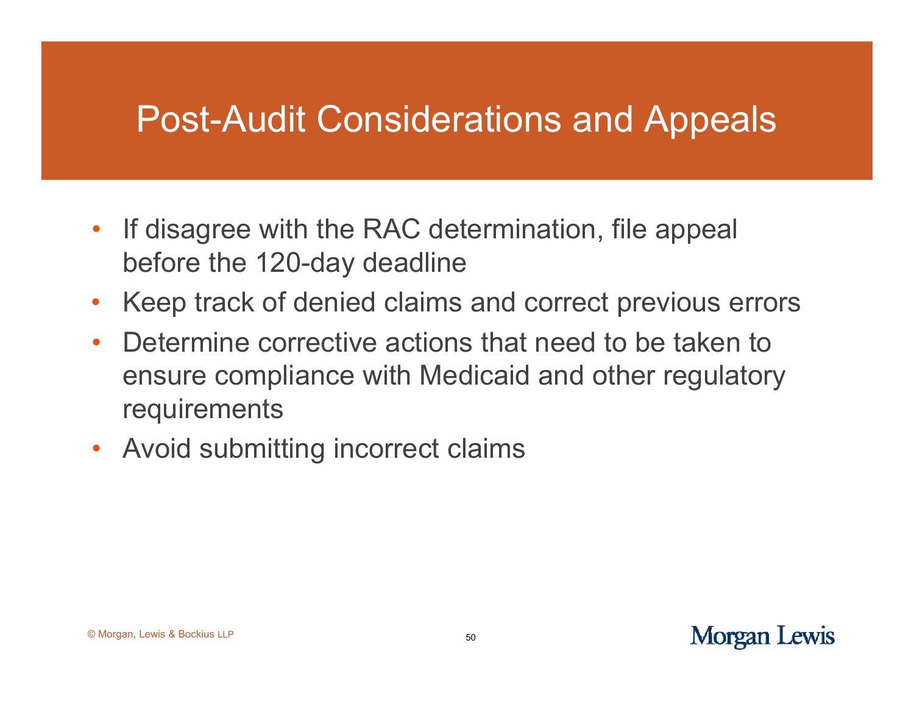## Post-Audit Considerations and Appeals

- If disagree with the RAC determination, file appeal before the 120-day deadline
- $\bullet$ Keep track of denied claims and correct previous errors
- Determine corrective actions that need to be taken to ensure compliance with Medicaid and other regulatory requirements
- Avoid submitting incorrect claims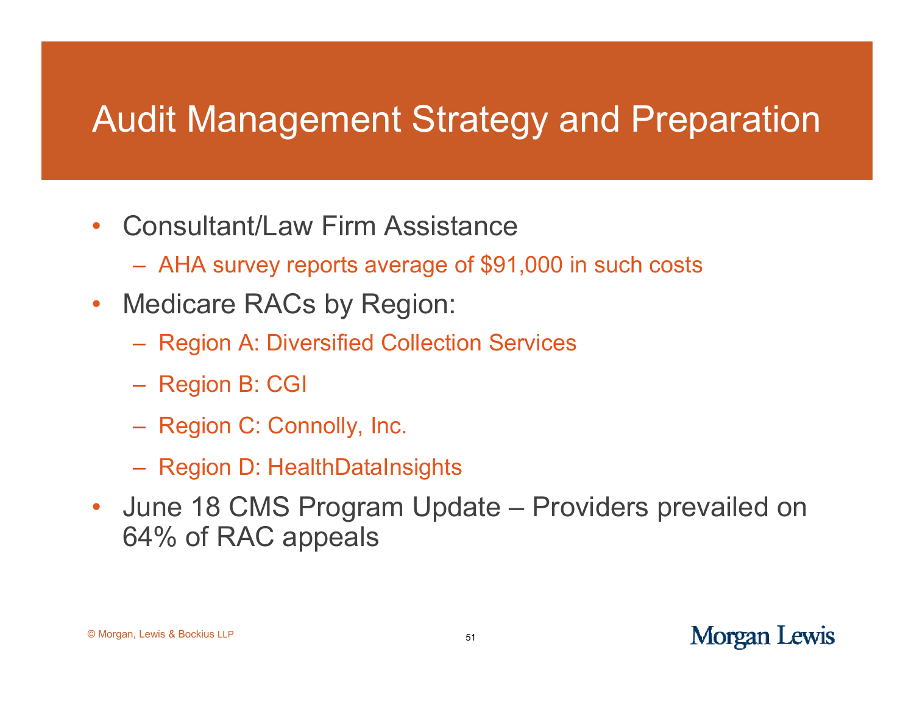## Audit Management Strategy and Preparation

- •• Consultant/Law Firm Assistance
	- AHA survey reports average of \$91,000 in such costs
- $\bullet$  Medicare RACs by Region:
	- Region A: Diversified Collection Services
	- Region B: CGI
	- Region C: Connolly, Inc.
	- Region D: HealthDataInsights
- $\bullet$  June 18 CMS Program Update – Providers prevailed on 64% of RAC appeals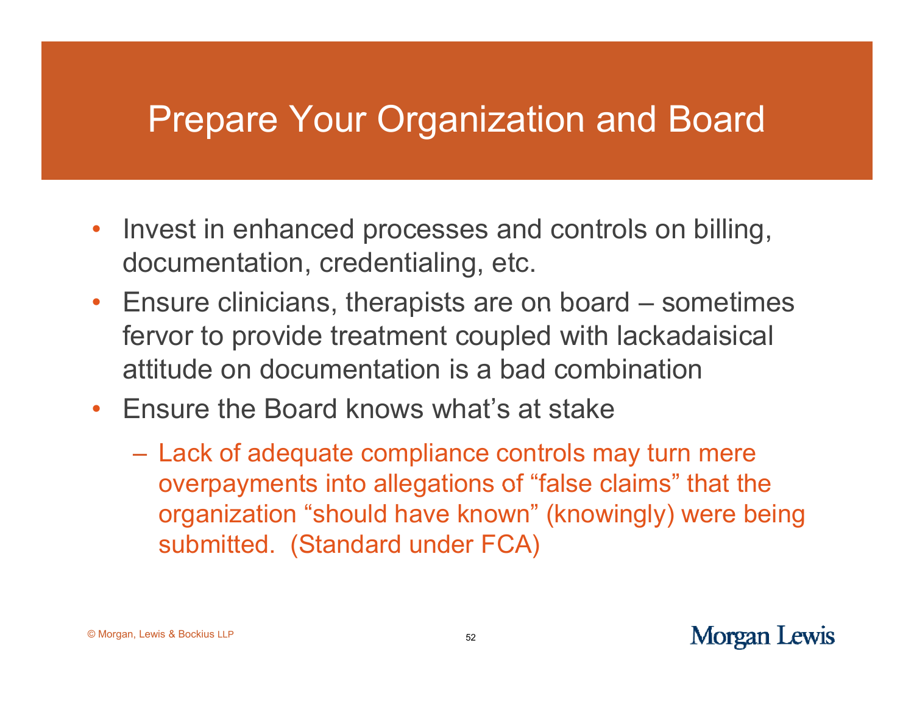## Prepare Your Organization and Board

- •• Invest in enhanced processes and controls on billing, documentation, credentialing, etc.
- Ensure clinicians, therapists are on board – sometimes fervor to provide treatment coupled with lackadaisical attitude on documentation is a bad combination
- Ensure the Board knows what's at stake
	- Lack of adequate compliance controls may turn mere overpayments into allegations of "false claims  $\mathrm{^{"}}$  that the organization "should have known" (knowingly) were being submitted. (Standard under FCA)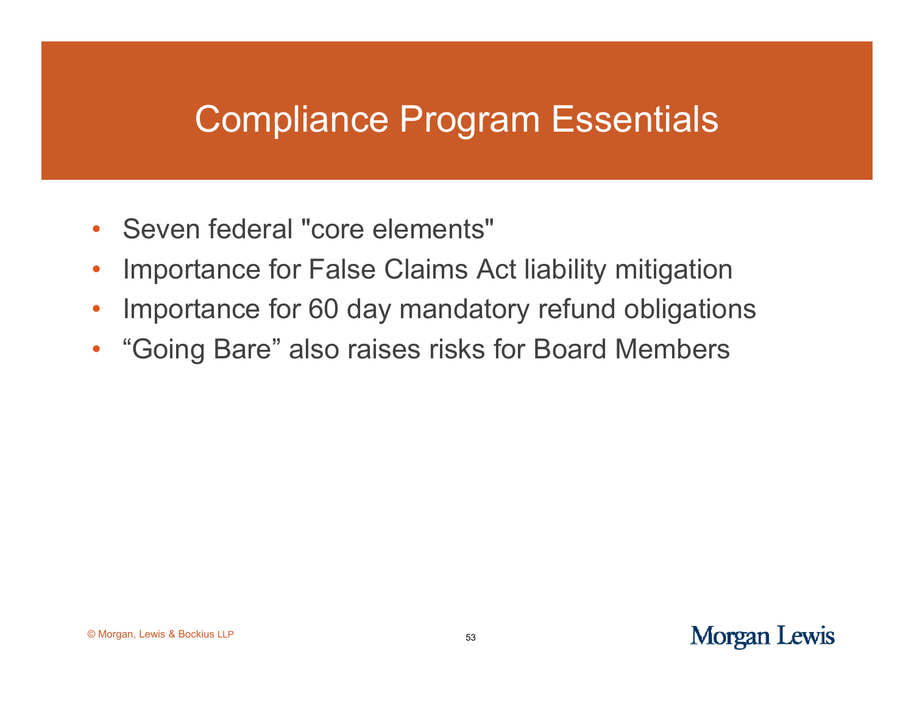## Compliance Program Essentials

- Seven federal "core elements"
- $\bullet$ Importance for False Claims Act liability mitigation
- •Importance for 60 day mandatory refund obligations
- $\bullet$ "Going Bare" also raises risks for Board Members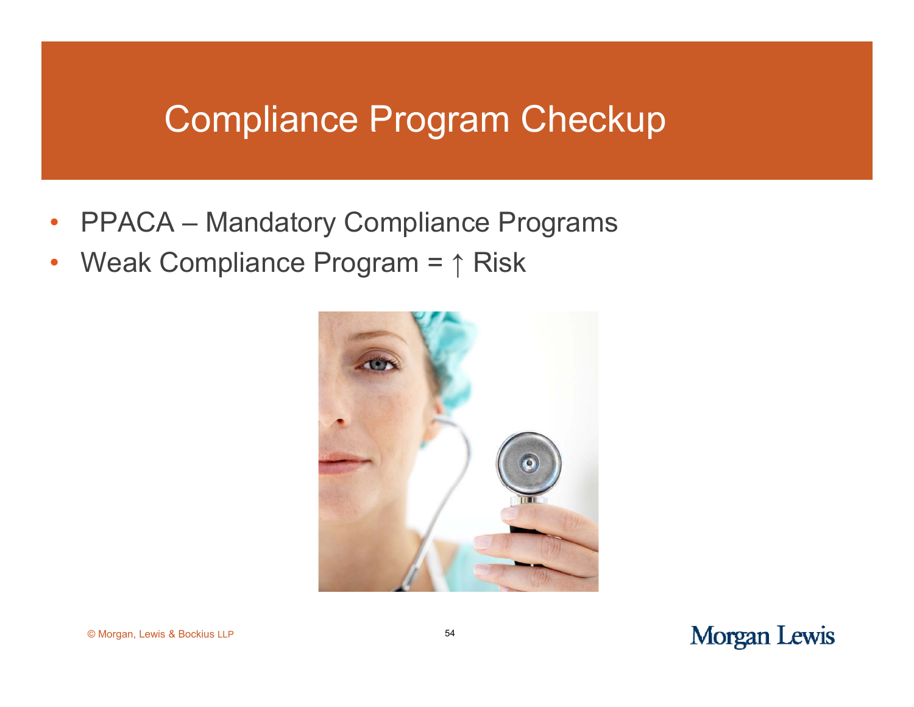#### Compliance Program Checkup

- •• PPACA – – Mandatory Compliance Programs
- $\bullet$ • Weak Compliance Program = ↑ Risk



© Morgan, Lewis & Bockius LLP <sup>54</sup>

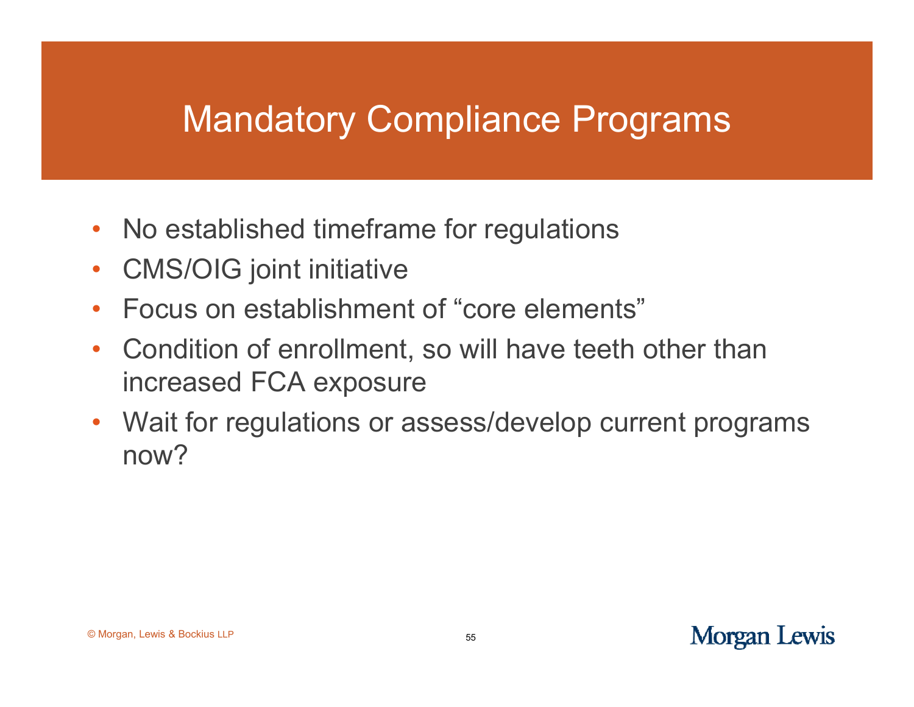## Mandatory Compliance Programs

- $\bullet$ • No established timeframe for regulations
- $\bullet$ CMS/OIG joint initiative
- •• Focus on establishment of "core elements"
- • Condition of enrollment, so will have teeth other than increased FCA exposure
- $\bullet$  Wait for regulations or assess/develop current programs now?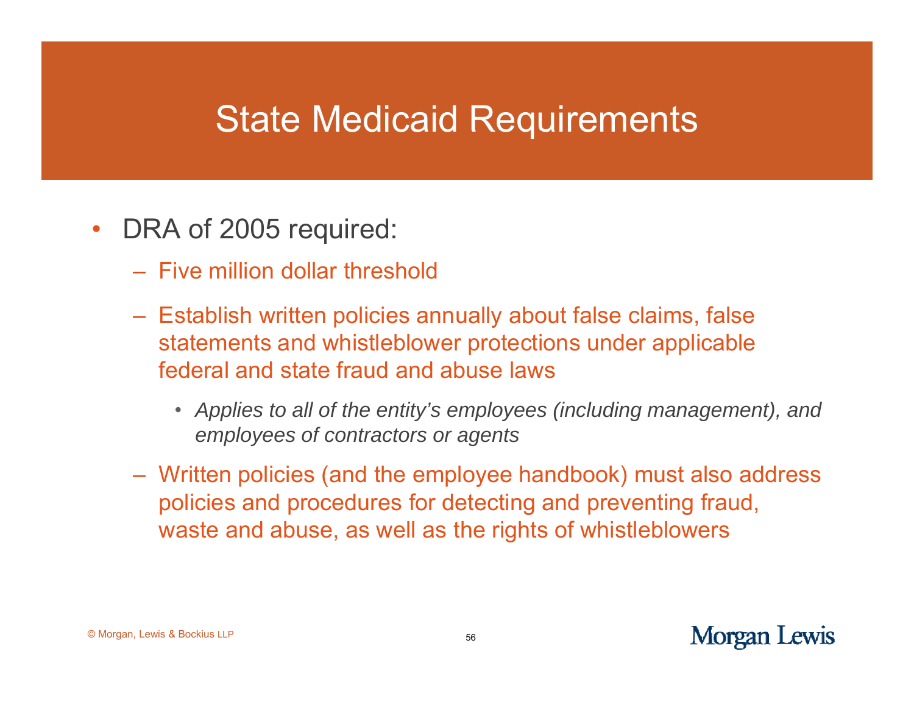#### State Medicaid Requirements

- $\bullet$ • DRA of 2005 required:
	- Five million dollar threshold
	- Establish written policies annually about false claims, false statements and whistleblower protections under applicable federal and state fraud and abuse laws
		- *Applies to all of the entity's employees (including management), and employees of contractors or agents*
	- Written policies (and the employee handbook) must also address policies and procedures for detecting and preventing fraud, waste and abuse, as well as the rights of whistleblowers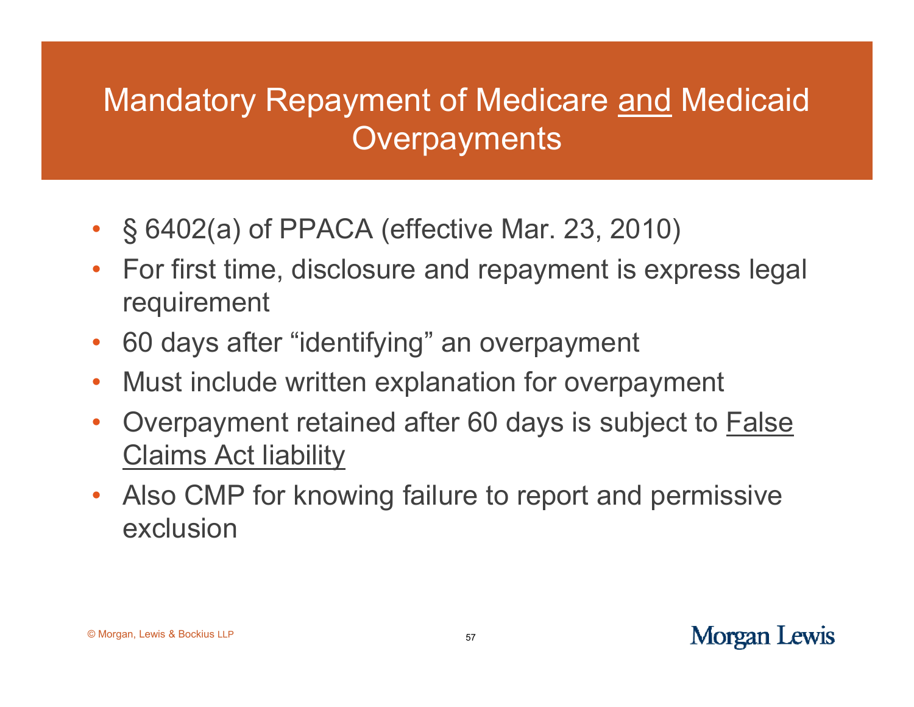#### Mandatory Repayment of Medicare and Medicaid Overpayments

- § 6402(a) of PPACA (effective Mar. 23, 2010)
- For first time, disclosure and repayment is express legal requirement
- $\bullet$ 60 days after "identifying" an overpayment
- $\bullet$ Must include written explanation for overpa yment
- $\bullet$  Overpayment retained after 60 days is subject to False Claims Act liability
- $\bullet$ • Also CMP for knowing failure to report and permissive exclusion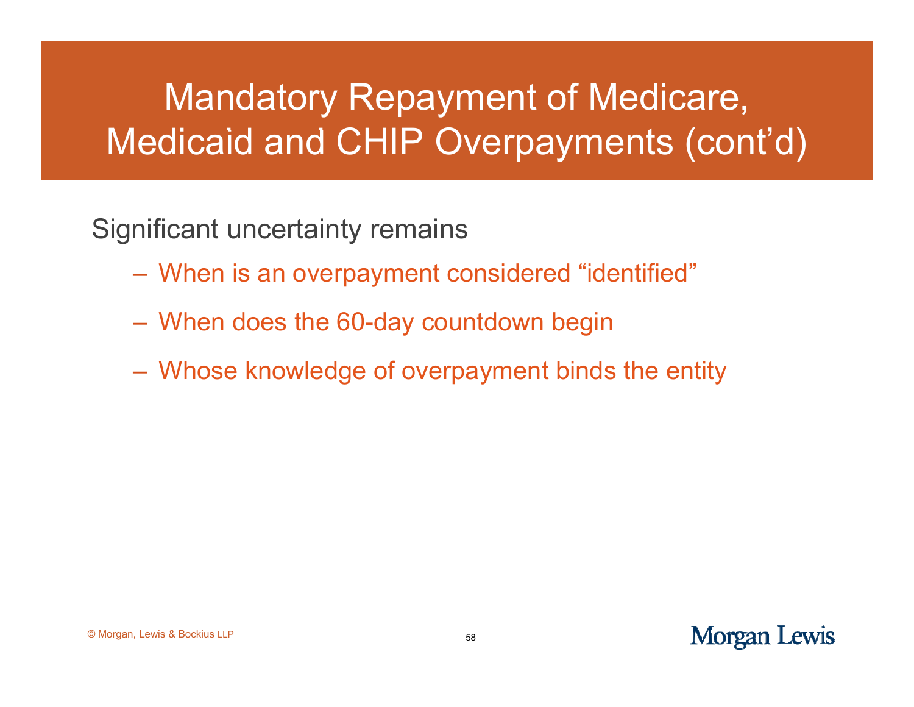## Mandatory Repayment of Medicare, Medicaid and CHIP Overpayments (cont'd)

Significant uncertainty remains

- When is an overpayment considered "identified"
- When does the 60-day countdown begin
- Whose knowledge of overpayment binds the entity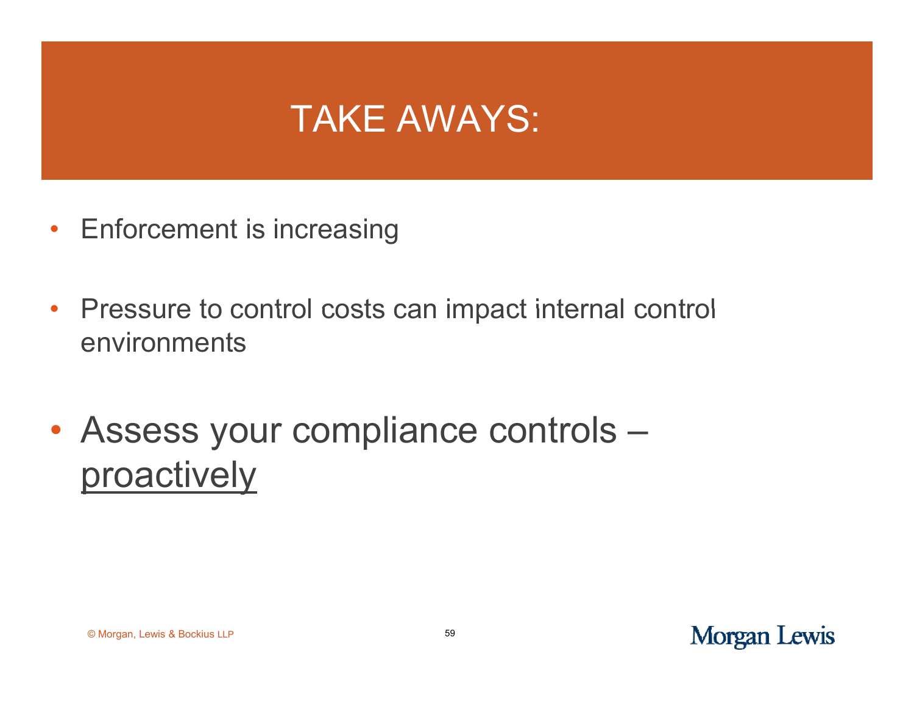## TAKE AWAYS:

- Enforcement is increasing
- •Pressure to control costs can impact internal control environments
- Assess your compliance controls proactively